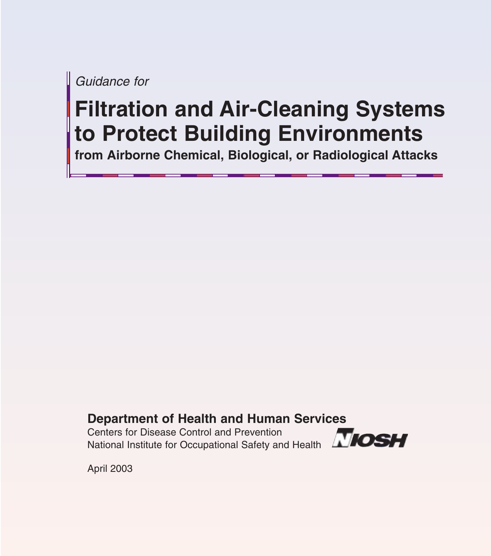*Guidance for*

# **Filtration and Air-Cleaning Systems to Protect Building Environments**

**from Airborne Chemical, Biological, or Radiological Attacks**

#### **Department of Health and Human Services**

Centers for Disease Control and Prevention National Institute for Occupational Safety and Health



April 2003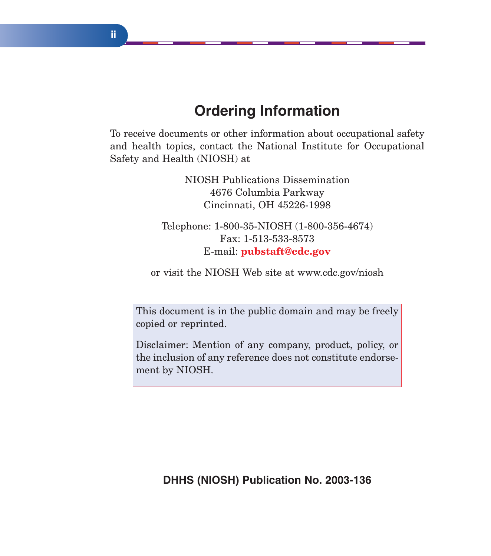# **Ordering Information**

To receive documents or other information about occupational safety and health topics, contact the National Institute for Occupational Safety and Health (NIOSH) at

> NIOSH Publications Dissemination 4676 Columbia Parkway Cincinnati, OH 45226-1998

Telephone: 1-800-35-NIOSH (1-800-356-4674) Fax: 1-513-533-8573 E-mail: **pubstaft@cdc.gov**

or visit the NIOSH Web site at www.cdc.gov/niosh

This document is in the public domain and may be freely copied or reprinted.

Disclaimer: Mention of any company, product, policy, or the inclusion of any reference does not constitute endorsement by NIOSH.

**DHHS (NIOSH) Publication No. 2003-136**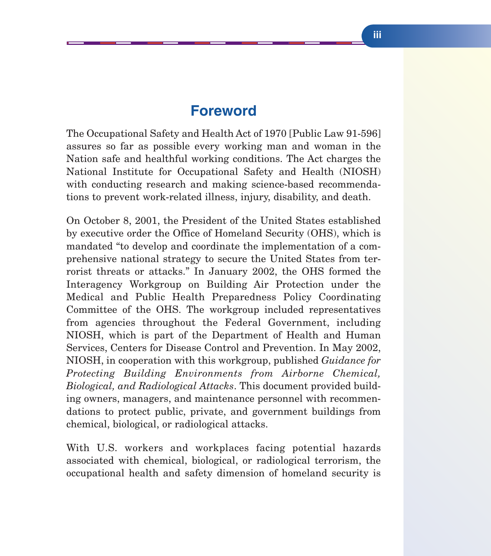#### **Foreword**

The Occupational Safety and Health Act of 1970 [Public Law 91-596] assures so far as possible every working man and woman in the Nation safe and healthful working conditions. The Act charges the National Institute for Occupational Safety and Health (NIOSH) with conducting research and making science-based recommendations to prevent work-related illness, injury, disability, and death.

On October 8, 2001, the President of the United States established by executive order the Office of Homeland Security (OHS), which is mandated "to develop and coordinate the implementation of a comprehensive national strategy to secure the United States from terrorist threats or attacks." In January 2002, the OHS formed the Interagency Workgroup on Building Air Protection under the Medical and Public Health Preparedness Policy Coordinating Committee of the OHS. The workgroup included representatives from agencies throughout the Federal Government, including NIOSH, which is part of the Department of Health and Human Services, Centers for Disease Control and Prevention. In May 2002, NIOSH, in cooperation with this workgroup, published *Guidance for Protecting Building Environments from Airborne Chemical, Biological, and Radiological Attacks*. This document provided building owners, managers, and maintenance personnel with recommendations to protect public, private, and government buildings from chemical, biological, or radiological attacks.

With U.S. workers and workplaces facing potential hazards associated with chemical, biological, or radiological terrorism, the occupational health and safety dimension of homeland security is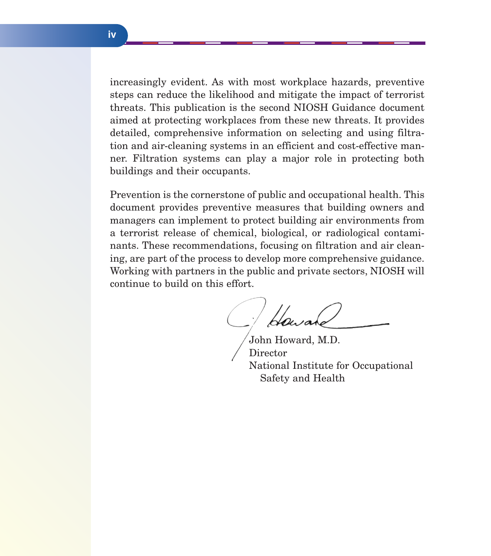increasingly evident. As with most workplace hazards, preventive steps can reduce the likelihood and mitigate the impact of terrorist threats. This publication is the second NIOSH Guidance document aimed at protecting workplaces from these new threats. It provides detailed, comprehensive information on selecting and using filtration and air-cleaning systems in an efficient and cost-effective manner. Filtration systems can play a major role in protecting both buildings and their occupants.

Prevention is the cornerstone of public and occupational health. This document provides preventive measures that building owners and managers can implement to protect building air environments from a terrorist release of chemical, biological, or radiological contaminants. These recommendations, focusing on filtration and air cleaning, are part of the process to develop more comprehensive guidance. Working with partners in the public and private sectors, NIOSH will continue to build on this effort.

Howah

John Howard, M.D. Director National Institute for Occupational Safety and Health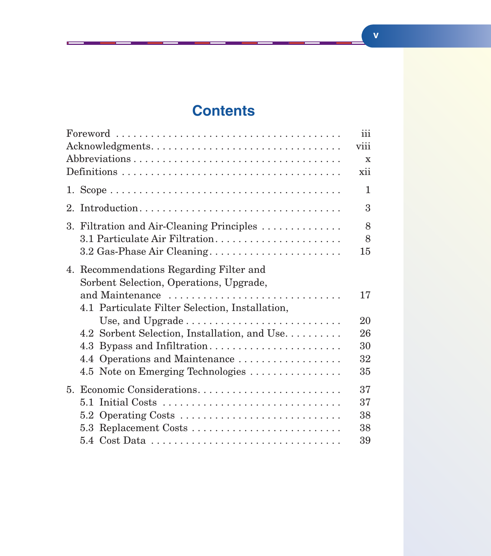# **Contents**

T

|                                                 | iii         |
|-------------------------------------------------|-------------|
| Acknowledgments                                 | viii        |
|                                                 | $\mathbf x$ |
|                                                 | xii         |
|                                                 | 1           |
|                                                 | 3           |
| 3. Filtration and Air-Cleaning Principles       | 8           |
| 3.1 Particulate Air Filtration                  | 8           |
|                                                 | 15          |
| 4. Recommendations Regarding Filter and         |             |
| Sorbent Selection, Operations, Upgrade,         |             |
| and Maintenance                                 | 17          |
| 4.1 Particulate Filter Selection, Installation, |             |
|                                                 | 20          |
| 4.2 Sorbent Selection, Installation, and Use    | 26          |
| 4.3 Bypass and Infiltration                     | 30          |
|                                                 | 32          |
| 4.5 Note on Emerging Technologies               | 35          |
| 5. Economic Considerations                      | 37          |
|                                                 | 37          |
| 5.2 Operating Costs                             | 38          |
| 5.3 Replacement Costs                           | 38          |
|                                                 | 39          |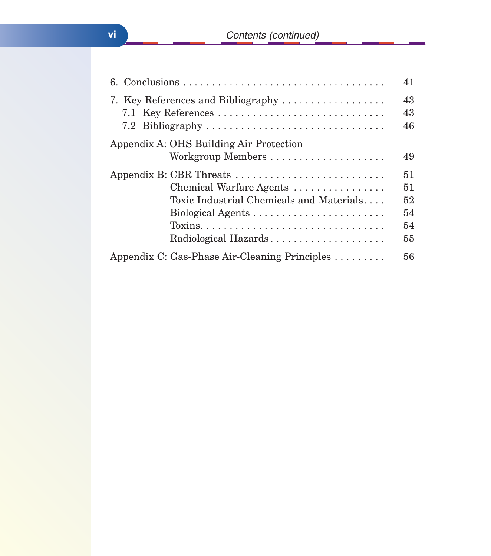|                                                                                                                                                                                                           | 41                               |
|-----------------------------------------------------------------------------------------------------------------------------------------------------------------------------------------------------------|----------------------------------|
| 7. Key References and Bibliography<br>7.2 Bibliography                                                                                                                                                    | 43<br>43<br>46                   |
| Appendix A: OHS Building Air Protection                                                                                                                                                                   | 49                               |
| Appendix B: CBR Threats<br>Chemical Warfare Agents<br>Toxic Industrial Chemicals and Materials<br>$Toxins. \ldots \ldots \ldots \ldots \ldots \ldots \ldots \ldots \ldots \ldots$<br>Radiological Hazards | 51<br>51<br>52<br>54<br>54<br>55 |
| Appendix C: Gas-Phase Air-Cleaning Principles                                                                                                                                                             | 56                               |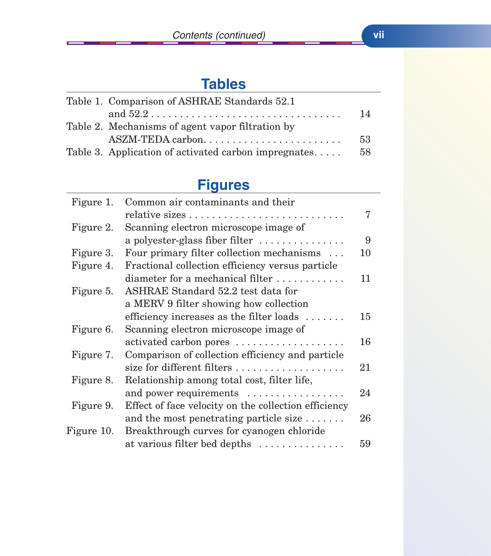Œ

# **Tables**

| Table 1. Comparison of ASHRAE Standards 52.1                                     |     |
|----------------------------------------------------------------------------------|-----|
| and $52.2 \ldots \ldots \ldots \ldots \ldots \ldots \ldots \ldots \ldots \ldots$ | 14  |
| Table 2. Mechanisms of agent vapor filtration by                                 |     |
| ASZM-TEDA carbon                                                                 | 53  |
| Table 3. Application of activated carbon impregnates                             | -58 |

# **Figures**

| Figure 1.  | Common air contaminants and their                                |    |
|------------|------------------------------------------------------------------|----|
|            |                                                                  | 7  |
| Figure 2.  | Scanning electron microscope image of                            |    |
|            | a polyester-glass fiber filter $\dots\dots\dots\dots\dots$       | 9  |
| Figure 3.  | Four primary filter collection mechanisms                        | 10 |
| Figure 4.  | Fractional collection efficiency versus particle                 |    |
|            | diameter for a mechanical filter                                 | 11 |
| Figure 5.  | ASHRAE Standard 52.2 test data for                               |    |
|            | a MERV 9 filter showing how collection                           |    |
|            | efficiency increases as the filter loads $\dots\dots$            | 15 |
| Figure 6.  | Scanning electron microscope image of                            |    |
|            | activated carbon pores                                           | 16 |
| Figure 7.  | Comparison of collection efficiency and particle                 |    |
|            | size for different filters $\dots \dots \dots \dots \dots \dots$ | 21 |
| Figure 8.  | Relationship among total cost, filter life,                      |    |
|            | and power requirements                                           | 24 |
| Figure 9.  | Effect of face velocity on the collection efficiency             |    |
|            | and the most penetrating particle size                           | 26 |
| Figure 10. | Breakthrough curves for cyanogen chloride                        |    |
|            | at various filter bed depths                                     | 59 |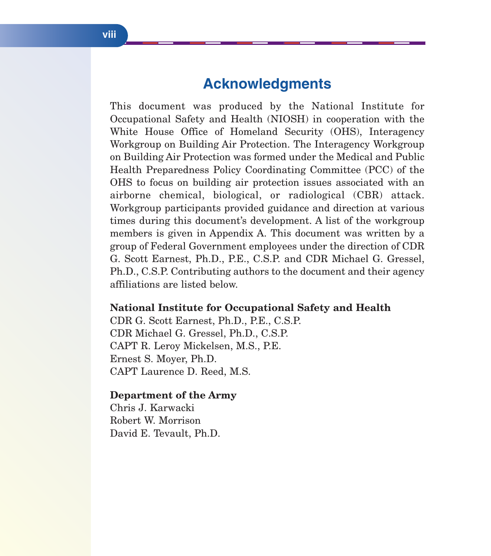### **Acknowledgments**

This document was produced by the National Institute for Occupational Safety and Health (NIOSH) in cooperation with the White House Office of Homeland Security (OHS), Interagency Workgroup on Building Air Protection. The Interagency Workgroup on Building Air Protection was formed under the Medical and Public Health Preparedness Policy Coordinating Committee (PCC) of the OHS to focus on building air protection issues associated with an airborne chemical, biological, or radiological (CBR) attack. Workgroup participants provided guidance and direction at various times during this document's development. A list of the workgroup members is given in Appendix A. This document was written by a group of Federal Government employees under the direction of CDR G. Scott Earnest, Ph.D., P.E., C.S.P. and CDR Michael G. Gressel, Ph.D., C.S.P. Contributing authors to the document and their agency affiliations are listed below.

#### **National Institute for Occupational Safety and Health**

CDR G. Scott Earnest, Ph.D., P.E., C.S.P. CDR Michael G. Gressel, Ph.D., C.S.P. CAPT R. Leroy Mickelsen, M.S., P.E. Ernest S. Moyer, Ph.D. CAPT Laurence D. Reed, M.S.

#### **Department of the Army**

Chris J. Karwacki Robert W. Morrison David E. Tevault, Ph.D.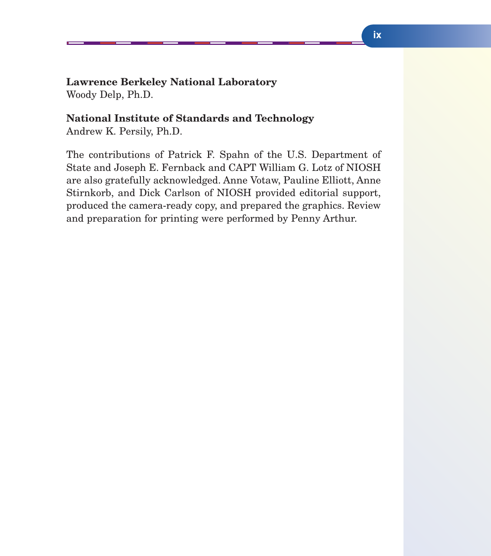#### **Lawrence Berkeley National Laboratory**

Woody Delp, Ph.D.

#### **National Institute of Standards and Technology**

Andrew K. Persily, Ph.D.

The contributions of Patrick F. Spahn of the U.S. Department of State and Joseph E. Fernback and CAPT William G. Lotz of NIOSH are also gratefully acknowledged. Anne Votaw, Pauline Elliott, Anne Stirnkorb, and Dick Carlson of NIOSH provided editorial support, produced the camera-ready copy, and prepared the graphics. Review and preparation for printing were performed by Penny Arthur.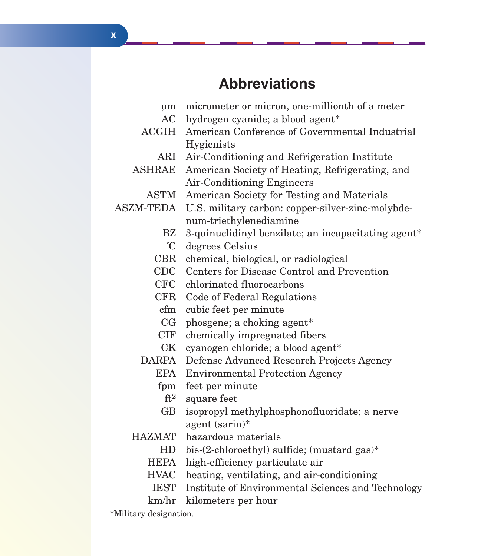# **Abbreviations**

| um              | micrometer or micron, one-millionth of a meter      |  |  |  |  |
|-----------------|-----------------------------------------------------|--|--|--|--|
| AC              | hydrogen cyanide; a blood agent*                    |  |  |  |  |
| <b>ACGIH</b>    | American Conference of Governmental Industrial      |  |  |  |  |
|                 | Hygienists                                          |  |  |  |  |
|                 | ARI Air-Conditioning and Refrigeration Institute    |  |  |  |  |
| <b>ASHRAE</b>   | American Society of Heating, Refrigerating, and     |  |  |  |  |
|                 | <b>Air-Conditioning Engineers</b>                   |  |  |  |  |
| <b>ASTM</b>     | American Society for Testing and Materials          |  |  |  |  |
| ASZM-TEDA       | U.S. military carbon: copper-silver-zinc-molybde-   |  |  |  |  |
|                 | num-triethylenediamine                              |  |  |  |  |
| BZ              | 3-quinuclidinyl benzilate; an incapacitating agent* |  |  |  |  |
| $\rm ^{\circ}C$ | degrees Celsius                                     |  |  |  |  |
| CBR             | chemical, biological, or radiological               |  |  |  |  |
| $\rm CDC$       | Centers for Disease Control and Prevention          |  |  |  |  |
| CFC             | chlorinated fluorocarbons                           |  |  |  |  |
| $\rm CFR$       | Code of Federal Regulations                         |  |  |  |  |
| cfm             | cubic feet per minute                               |  |  |  |  |
| CG              | phosgene; a choking agent*                          |  |  |  |  |
| CIF             | chemically impregnated fibers                       |  |  |  |  |
| CK              | cyanogen chloride; a blood agent*                   |  |  |  |  |
| DARPA           | Defense Advanced Research Projects Agency           |  |  |  |  |
| <b>EPA</b>      | <b>Environmental Protection Agency</b>              |  |  |  |  |
| fpm             | feet per minute                                     |  |  |  |  |
| $\mathrm{ft}^2$ | square feet                                         |  |  |  |  |
| GB              | isopropyl methylphosphonofluoridate; a nerve        |  |  |  |  |
|                 | agent (sarin)*                                      |  |  |  |  |
| <b>HAZMAT</b>   | hazardous materials                                 |  |  |  |  |
| HD              | bis-(2-chloroethyl) sulfide; (mustard gas)*         |  |  |  |  |
| HEPA            | high-efficiency particulate air                     |  |  |  |  |
| <b>HVAC</b>     | heating, ventilating, and air-conditioning          |  |  |  |  |
| <b>IEST</b>     | Institute of Environmental Sciences and Technology  |  |  |  |  |
| km/hr           | kilometers per hour                                 |  |  |  |  |

\*Military designation.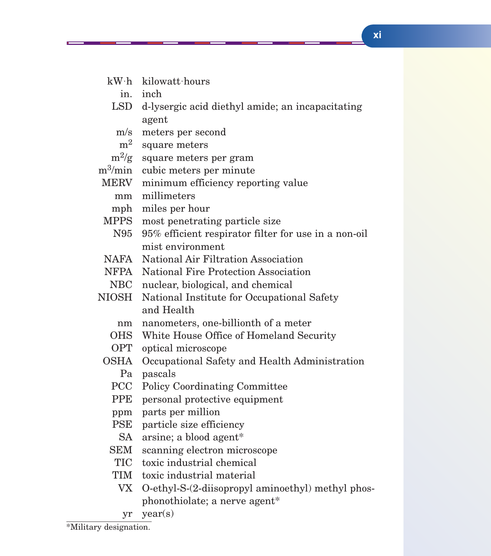- kW˙h kilowatt˙hours
	- in. inch
- LSD d-lysergic acid diethyl amide; an incapacitating agent
	- m/s meters per second
	- m<sup>2</sup> square meters
- $m^2/g$  square meters per gram

m3/min cubic meters per minute

- MERV minimum efficiency reporting value
	- mm millimeters
	- mph miles per hour
- MPPS most penetrating particle size
- N95 95% efficient respirator filter for use in a non-oil mist environment
- NAFA National Air Filtration Association
- NFPA National Fire Protection Association
- NBC nuclear, biological, and chemical
- NIOSH National Institute for Occupational Safety and Health
	- nm nanometers, one-billionth of a meter
	- OHS White House Office of Homeland Security
	- OPT optical microscope
	- OSHA Occupational Safety and Health Administration Pa pascals
		- PCC Policy Coordinating Committee
		- PPE personal protective equipment
		- ppm parts per million
		- PSE particle size efficiency
		- SA arsine; a blood agent\*
		- SEM scanning electron microscope
		- TIC toxic industrial chemical
		- TIM toxic industrial material
			- VX O-ethyl-S-(2-diisopropyl aminoethyl) methyl phosphonothiolate; a nerve agent\*
			- yr year(s)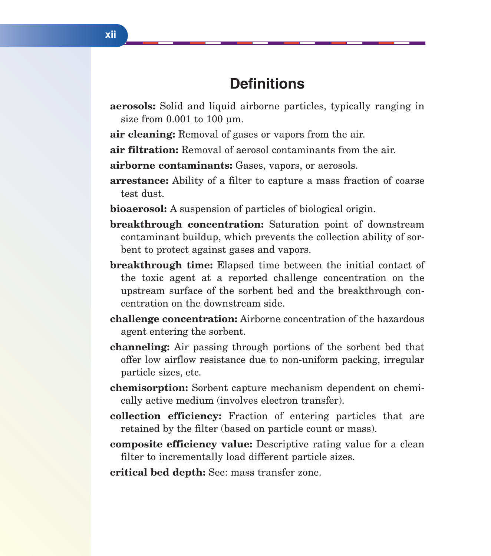## **Definitions**

**aerosols:** Solid and liquid airborne particles, typically ranging in size from  $0.001$  to  $100 \mu m$ .

**air cleaning:** Removal of gases or vapors from the air.

**air filtration:** Removal of aerosol contaminants from the air.

**airborne contaminants:** Gases, vapors, or aerosols.

- **arrestance:** Ability of a filter to capture a mass fraction of coarse test dust.
- **bioaerosol:** A suspension of particles of biological origin.
- **breakthrough concentration:** Saturation point of downstream contaminant buildup, which prevents the collection ability of sorbent to protect against gases and vapors.
- **breakthrough time:** Elapsed time between the initial contact of the toxic agent at a reported challenge concentration on the upstream surface of the sorbent bed and the breakthrough concentration on the downstream side.
- **challenge concentration:** Airborne concentration of the hazardous agent entering the sorbent.
- **channeling:** Air passing through portions of the sorbent bed that offer low airflow resistance due to non-uniform packing, irregular particle sizes, etc.
- **chemisorption:** Sorbent capture mechanism dependent on chemically active medium (involves electron transfer).
- **collection efficiency:** Fraction of entering particles that are retained by the filter (based on particle count or mass).
- **composite efficiency value:** Descriptive rating value for a clean filter to incrementally load different particle sizes.

**critical bed depth:** See: mass transfer zone.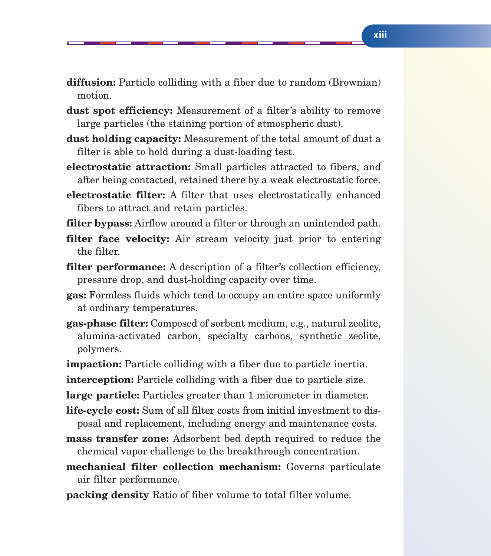- **diffusion:** Particle colliding with a fiber due to random (Brownian) motion.
- **dust spot efficiency:** Measurement of a filter's ability to remove large particles (the staining portion of atmospheric dust).
- **dust holding capacity:** Measurement of the total amount of dust a filter is able to hold during a dust-loading test.
- **electrostatic attraction:** Small particles attracted to fibers, and after being contacted, retained there by a weak electrostatic force.
- **electrostatic filter:** A filter that uses electrostatically enhanced fibers to attract and retain particles.
- **filter bypass:** Airflow around a filter or through an unintended path.
- **filter face velocity:** Air stream velocity just prior to entering the filter.
- **filter performance:** A description of a filter's collection efficiency, pressure drop, and dust-holding capacity over time.
- **gas:** Formless fluids which tend to occupy an entire space uniformly at ordinary temperatures.
- **gas-phase filter:** Composed of sorbent medium, e.g., natural zeolite, alumina-activated carbon, specialty carbons, synthetic zeolite, polymers.
- **impaction:** Particle colliding with a fiber due to particle inertia.
- **interception:** Particle colliding with a fiber due to particle size.
- **large particle:** Particles greater than 1 micrometer in diameter.
- **life-cycle cost:** Sum of all filter costs from initial investment to disposal and replacement, including energy and maintenance costs.
- **mass transfer zone:** Adsorbent bed depth required to reduce the chemical vapor challenge to the breakthrough concentration.
- **mechanical filter collection mechanism:** Governs particulate air filter performance.
- **packing density** Ratio of fiber volume to total filter volume.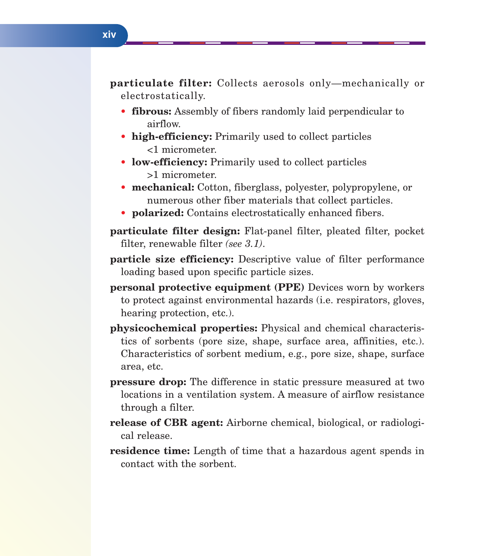**particulate filter:** Collects aerosols only—mechanically or electrostatically.

- **fibrous:** Assembly of fibers randomly laid perpendicular to airflow.
- **• high-efficiency:** Primarily used to collect particles <1 micrometer.
- **• low-efficiency:** Primarily used to collect particles >1 micrometer.
- **• mechanical:** Cotton, fiberglass, polyester, polypropylene, or numerous other fiber materials that collect particles.
- **• polarized:** Contains electrostatically enhanced fibers.
- **particulate filter design:** Flat-panel filter, pleated filter, pocket filter, renewable filter *(see 3.1)*.
- **particle size efficiency:** Descriptive value of filter performance loading based upon specific particle sizes.
- **personal protective equipment (PPE)** Devices worn by workers to protect against environmental hazards (i.e. respirators, gloves, hearing protection, etc.).
- **physicochemical properties:** Physical and chemical characteristics of sorbents (pore size, shape, surface area, affinities, etc.). Characteristics of sorbent medium, e.g., pore size, shape, surface area, etc.
- **pressure drop:** The difference in static pressure measured at two locations in a ventilation system. A measure of airflow resistance through a filter.
- **release of CBR agent:** Airborne chemical, biological, or radiological release.
- **residence time:** Length of time that a hazardous agent spends in contact with the sorbent.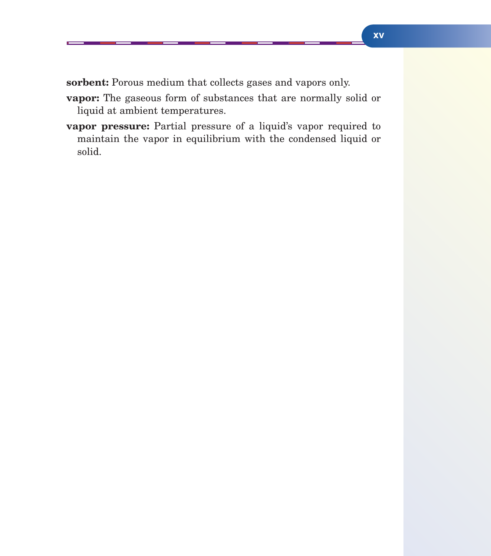sorbent: Porous medium that collects gases and vapors only.

- **vapor:** The gaseous form of substances that are normally solid or liquid at ambient temperatures.
- **vapor pressure:** Partial pressure of a liquid's vapor required to maintain the vapor in equilibrium with the condensed liquid or solid.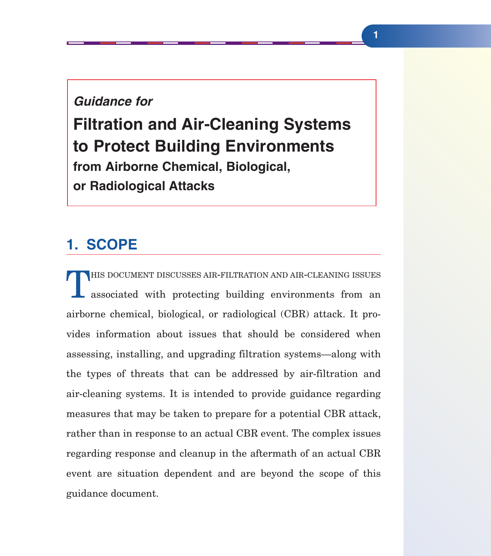#### *Guidance for*

**Filtration and Air-Cleaning Systems to Protect Building Environments from Airborne Chemical, Biological, or Radiological Attacks**

## **1. SCOPE**

THIS DOCUMENT DISCUSSES AIR-FILTRATION AND AIR-CLEANING ISSUES<br>associated with protecting building environments from an airborne chemical, biological, or radiological (CBR) attack. It provides information about issues that should be considered when assessing, installing, and upgrading filtration systems—along with the types of threats that can be addressed by air-filtration and air-cleaning systems. It is intended to provide guidance regarding measures that may be taken to prepare for a potential CBR attack, rather than in response to an actual CBR event. The complex issues regarding response and cleanup in the aftermath of an actual CBR event are situation dependent and are beyond the scope of this guidance document.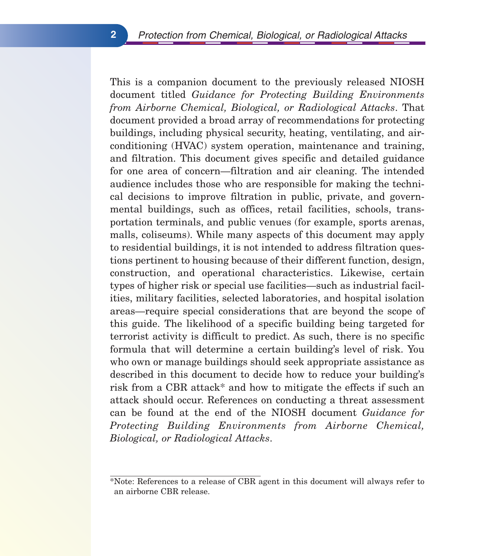This is a companion document to the previously released NIOSH document titled *Guidance for Protecting Building Environments from Airborne Chemical, Biological, or Radiological Attacks*. That document provided a broad array of recommendations for protecting buildings, including physical security, heating, ventilating, and airconditioning (HVAC) system operation, maintenance and training, and filtration. This document gives specific and detailed guidance for one area of concern—filtration and air cleaning. The intended audience includes those who are responsible for making the technical decisions to improve filtration in public, private, and governmental buildings, such as offices, retail facilities, schools, transportation terminals, and public venues (for example, sports arenas, malls, coliseums). While many aspects of this document may apply to residential buildings, it is not intended to address filtration questions pertinent to housing because of their different function, design, construction, and operational characteristics. Likewise, certain types of higher risk or special use facilities—such as industrial facilities, military facilities, selected laboratories, and hospital isolation areas—require special considerations that are beyond the scope of this guide. The likelihood of a specific building being targeted for terrorist activity is difficult to predict. As such, there is no specific formula that will determine a certain building's level of risk. You who own or manage buildings should seek appropriate assistance as described in this document to decide how to reduce your building's risk from a CBR attack\* and how to mitigate the effects if such an attack should occur. References on conducting a threat assessment can be found at the end of the NIOSH document *Guidance for Protecting Building Environments from Airborne Chemical, Biological, or Radiological Attacks*.

<sup>\*</sup>Note: References to a release of CBR agent in this document will always refer to an airborne CBR release.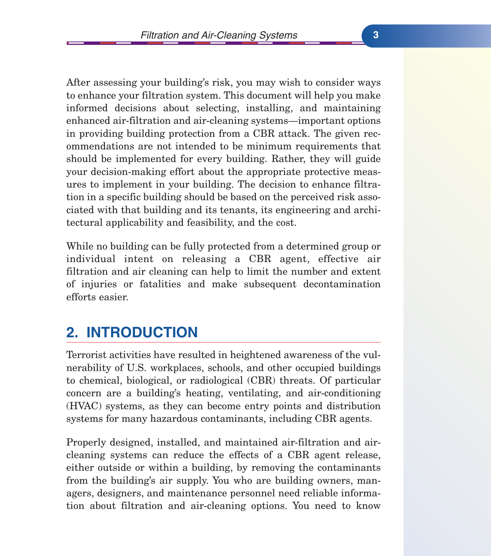After assessing your building's risk, you may wish to consider ways to enhance your filtration system. This document will help you make informed decisions about selecting, installing, and maintaining enhanced air-filtration and air-cleaning systems—important options in providing building protection from a CBR attack. The given recommendations are not intended to be minimum requirements that should be implemented for every building. Rather, they will guide your decision-making effort about the appropriate protective measures to implement in your building. The decision to enhance filtration in a specific building should be based on the perceived risk associated with that building and its tenants, its engineering and architectural applicability and feasibility, and the cost.

While no building can be fully protected from a determined group or individual intent on releasing a CBR agent, effective air filtration and air cleaning can help to limit the number and extent of injuries or fatalities and make subsequent decontamination efforts easier.

# **2. INTRODUCTION**

Terrorist activities have resulted in heightened awareness of the vulnerability of U.S. workplaces, schools, and other occupied buildings to chemical, biological, or radiological (CBR) threats. Of particular concern are a building's heating, ventilating, and air-conditioning (HVAC) systems, as they can become entry points and distribution systems for many hazardous contaminants, including CBR agents.

Properly designed, installed, and maintained air-filtration and aircleaning systems can reduce the effects of a CBR agent release, either outside or within a building, by removing the contaminants from the building's air supply. You who are building owners, managers, designers, and maintenance personnel need reliable information about filtration and air-cleaning options. You need to know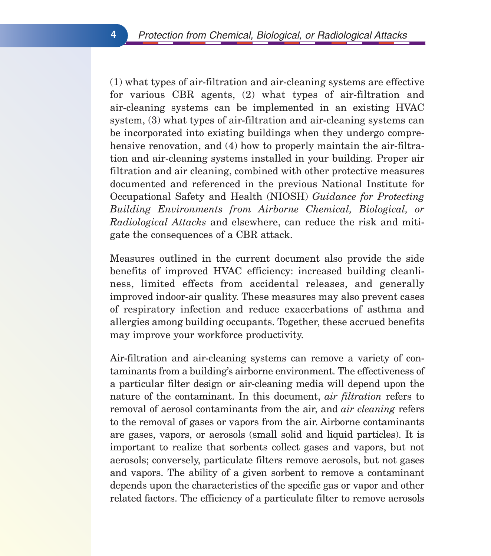(1) what types of air-filtration and air-cleaning systems are effective for various CBR agents, (2) what types of air-filtration and air-cleaning systems can be implemented in an existing HVAC system, (3) what types of air-filtration and air-cleaning systems can be incorporated into existing buildings when they undergo comprehensive renovation, and (4) how to properly maintain the air-filtration and air-cleaning systems installed in your building. Proper air filtration and air cleaning, combined with other protective measures documented and referenced in the previous National Institute for Occupational Safety and Health (NIOSH) *Guidance for Protecting Building Environments from Airborne Chemical, Biological, or Radiological Attacks* and elsewhere, can reduce the risk and mitigate the consequences of a CBR attack.

Measures outlined in the current document also provide the side benefits of improved HVAC efficiency: increased building cleanliness, limited effects from accidental releases, and generally improved indoor-air quality. These measures may also prevent cases of respiratory infection and reduce exacerbations of asthma and allergies among building occupants. Together, these accrued benefits may improve your workforce productivity.

Air-filtration and air-cleaning systems can remove a variety of contaminants from a building's airborne environment. The effectiveness of a particular filter design or air-cleaning media will depend upon the nature of the contaminant. In this document, *air filtration* refers to removal of aerosol contaminants from the air, and *air cleaning* refers to the removal of gases or vapors from the air. Airborne contaminants are gases, vapors, or aerosols (small solid and liquid particles). It is important to realize that sorbents collect gases and vapors, but not aerosols; conversely, particulate filters remove aerosols, but not gases and vapors. The ability of a given sorbent to remove a contaminant depends upon the characteristics of the specific gas or vapor and other related factors. The efficiency of a particulate filter to remove aerosols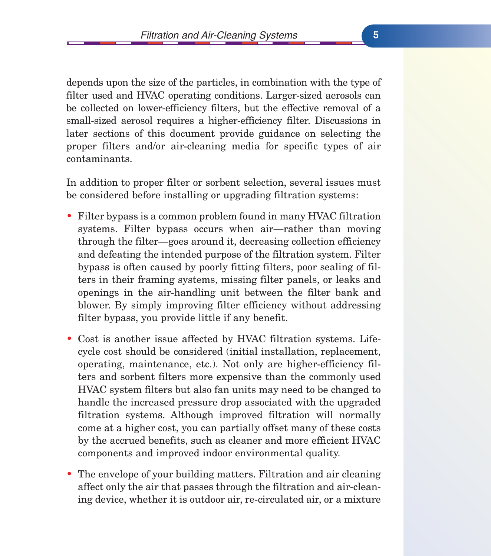depends upon the size of the particles, in combination with the type of filter used and HVAC operating conditions. Larger-sized aerosols can be collected on lower-efficiency filters, but the effective removal of a small-sized aerosol requires a higher-efficiency filter. Discussions in later sections of this document provide guidance on selecting the proper filters and/or air-cleaning media for specific types of air contaminants.

In addition to proper filter or sorbent selection, several issues must be considered before installing or upgrading filtration systems:

- Filter bypass is a common problem found in many HVAC filtration systems. Filter bypass occurs when air—rather than moving through the filter—goes around it, decreasing collection efficiency and defeating the intended purpose of the filtration system. Filter bypass is often caused by poorly fitting filters, poor sealing of filters in their framing systems, missing filter panels, or leaks and openings in the air-handling unit between the filter bank and blower. By simply improving filter efficiency without addressing filter bypass, you provide little if any benefit.
- Cost is another issue affected by HVAC filtration systems. Lifecycle cost should be considered (initial installation, replacement, operating, maintenance, etc.). Not only are higher-efficiency filters and sorbent filters more expensive than the commonly used HVAC system filters but also fan units may need to be changed to handle the increased pressure drop associated with the upgraded filtration systems. Although improved filtration will normally come at a higher cost, you can partially offset many of these costs by the accrued benefits, such as cleaner and more efficient HVAC components and improved indoor environmental quality.
- The envelope of your building matters. Filtration and air cleaning affect only the air that passes through the filtration and air-cleaning device, whether it is outdoor air, re-circulated air, or a mixture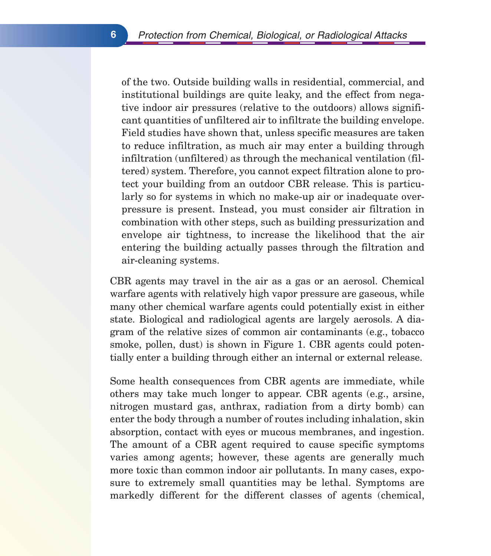of the two. Outside building walls in residential, commercial, and institutional buildings are quite leaky, and the effect from negative indoor air pressures (relative to the outdoors) allows significant quantities of unfiltered air to infiltrate the building envelope. Field studies have shown that, unless specific measures are taken to reduce infiltration, as much air may enter a building through infiltration (unfiltered) as through the mechanical ventilation (filtered) system. Therefore, you cannot expect filtration alone to protect your building from an outdoor CBR release. This is particularly so for systems in which no make-up air or inadequate overpressure is present. Instead, you must consider air filtration in combination with other steps, such as building pressurization and envelope air tightness, to increase the likelihood that the air entering the building actually passes through the filtration and air-cleaning systems.

CBR agents may travel in the air as a gas or an aerosol. Chemical warfare agents with relatively high vapor pressure are gaseous, while many other chemical warfare agents could potentially exist in either state. Biological and radiological agents are largely aerosols. A diagram of the relative sizes of common air contaminants (e.g., tobacco smoke, pollen, dust) is shown in Figure 1. CBR agents could potentially enter a building through either an internal or external release.

Some health consequences from CBR agents are immediate, while others may take much longer to appear. CBR agents (e.g., arsine, nitrogen mustard gas, anthrax, radiation from a dirty bomb) can enter the body through a number of routes including inhalation, skin absorption, contact with eyes or mucous membranes, and ingestion. The amount of a CBR agent required to cause specific symptoms varies among agents; however, these agents are generally much more toxic than common indoor air pollutants. In many cases, exposure to extremely small quantities may be lethal. Symptoms are markedly different for the different classes of agents (chemical,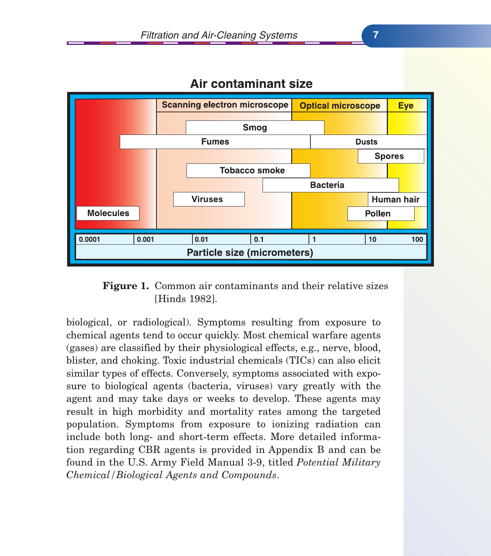

### Air contaminant size

#### Figure 1. Common air contaminants and their relative sizes [Hinds 1982].

biological, or radiological). Symptoms resulting from exposure to chemical agents tend to occur quickly. Most chemical warfare agents (gases) are classified by their physiological effects, e.g., nerve, blood, blister, and choking. Toxic industrial chemicals (TICs) can also elicit similar types of effects. Conversely, symptoms associated with exposure to biological agents (bacteria, viruses) vary greatly with the agent and may take days or weeks to develop. These agents may result in high morbidity and mortality rates among the targeted population. Symptoms from exposure to ionizing radiation can include both long- and short-term effects. More detailed information regarding CBR agents is provided in Appendix B and can be found in the U.S. Army Field Manual 3-9, titled *Potential Military Chemical/Biological Agents and Compounds*.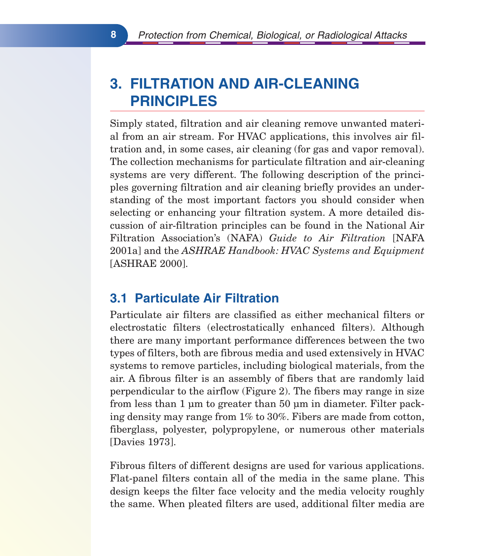# **3. FILTRATION AND AIR-CLEANING PRINCIPLES**

Simply stated, filtration and air cleaning remove unwanted material from an air stream. For HVAC applications, this involves air filtration and, in some cases, air cleaning (for gas and vapor removal). The collection mechanisms for particulate filtration and air-cleaning systems are very different. The following description of the principles governing filtration and air cleaning briefly provides an understanding of the most important factors you should consider when selecting or enhancing your filtration system. A more detailed discussion of air-filtration principles can be found in the National Air Filtration Association's (NAFA) *Guide to Air Filtration* [NAFA 2001a] and the *ASHRAE Handbook: HVAC Systems and Equipment* [ASHRAE 2000].

### **3.1 Particulate Air Filtration**

Particulate air filters are classified as either mechanical filters or electrostatic filters (electrostatically enhanced filters). Although there are many important performance differences between the two types of filters, both are fibrous media and used extensively in HVAC systems to remove particles, including biological materials, from the air. A fibrous filter is an assembly of fibers that are randomly laid perpendicular to the airflow (Figure 2). The fibers may range in size from less than 1 µm to greater than 50 µm in diameter. Filter packing density may range from 1% to 30%. Fibers are made from cotton, fiberglass, polyester, polypropylene, or numerous other materials [Davies 1973].

Fibrous filters of different designs are used for various applications. Flat-panel filters contain all of the media in the same plane. This design keeps the filter face velocity and the media velocity roughly the same. When pleated filters are used, additional filter media are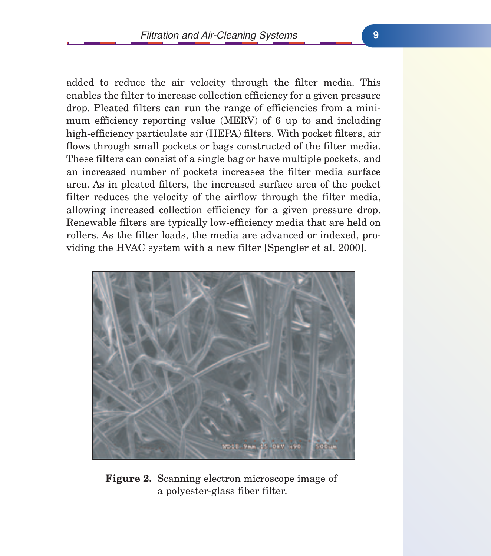added to reduce the air velocity through the filter media. This enables the filter to increase collection efficiency for a given pressure drop. Pleated filters can run the range of efficiencies from a minimum efficiency reporting value (MERV) of 6 up to and including high-efficiency particulate air (HEPA) filters. With pocket filters, air flows through small pockets or bags constructed of the filter media. These filters can consist of a single bag or have multiple pockets, and an increased number of pockets increases the filter media surface area. As in pleated filters, the increased surface area of the pocket filter reduces the velocity of the airflow through the filter media, allowing increased collection efficiency for a given pressure drop. Renewable filters are typically low-efficiency media that are held on rollers. As the filter loads, the media are advanced or indexed, providing the HVAC system with a new filter [Spengler et al. 2000].



**Figure 2.** Scanning electron microscope image of a polyester-glass fiber filter.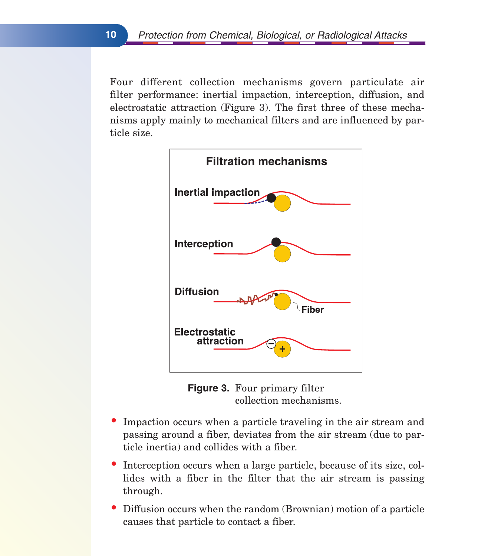Four different collection mechanisms govern particulate air filter performance: inertial impaction, interception, diffusion, and electrostatic attraction (Figure 3). The first three of these mechanisms apply mainly to mechanical filters and are influenced by particle size.



**Figure 3.** Four primary filter collection mechanisms.

- Impaction occurs when a particle traveling in the air stream and passing around a fiber, deviates from the air stream (due to particle inertia) and collides with a fiber.
- Interception occurs when a large particle, because of its size, collides with a fiber in the filter that the air stream is passing through.
- Diffusion occurs when the random (Brownian) motion of a particle causes that particle to contact a fiber.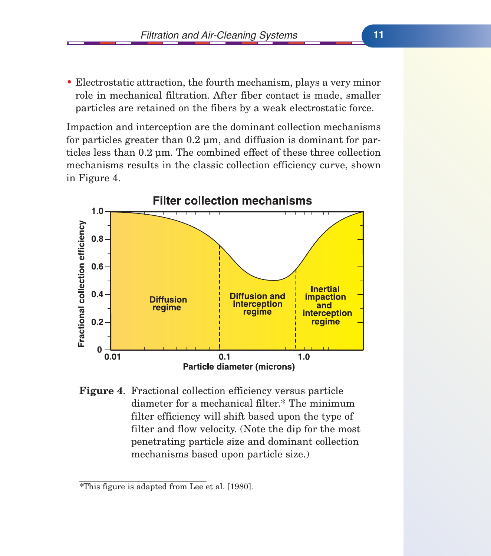• Electrostatic attraction, the fourth mechanism, plays a very minor role in mechanical filtration. After fiber contact is made, smaller particles are retained on the fibers by a weak electrostatic force.

Impaction and interception are the dominant collection mechanisms for particles greater than 0.2 µm, and diffusion is dominant for particles less than 0.2 µm. The combined effect of these three collection mechanisms results in the classic collection efficiency curve, shown in Figure 4.



**Figure 4**. Fractional collection efficiency versus particle diameter for a mechanical filter.\* The minimum filter efficiency will shift based upon the type of filter and flow velocity. (Note the dip for the most penetrating particle size and dominant collection mechanisms based upon particle size.)

<sup>\*</sup>This figure is adapted from Lee et al. [1980].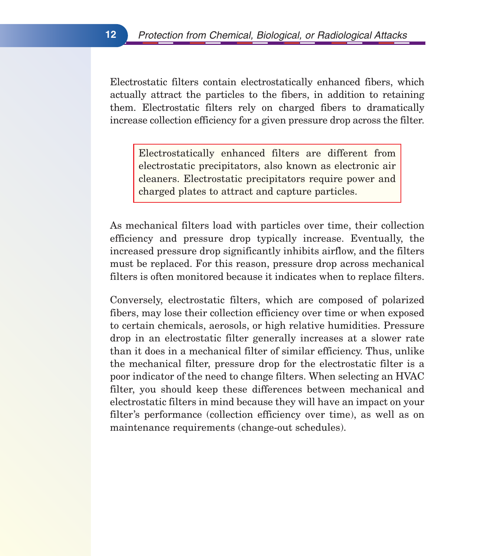Electrostatic filters contain electrostatically enhanced fibers, which actually attract the particles to the fibers, in addition to retaining them. Electrostatic filters rely on charged fibers to dramatically increase collection efficiency for a given pressure drop across the filter.

Electrostatically enhanced filters are different from electrostatic precipitators, also known as electronic air cleaners. Electrostatic precipitators require power and charged plates to attract and capture particles.

As mechanical filters load with particles over time, their collection efficiency and pressure drop typically increase. Eventually, the increased pressure drop significantly inhibits airflow, and the filters must be replaced. For this reason, pressure drop across mechanical filters is often monitored because it indicates when to replace filters.

Conversely, electrostatic filters, which are composed of polarized fibers, may lose their collection efficiency over time or when exposed to certain chemicals, aerosols, or high relative humidities. Pressure drop in an electrostatic filter generally increases at a slower rate than it does in a mechanical filter of similar efficiency. Thus, unlike the mechanical filter, pressure drop for the electrostatic filter is a poor indicator of the need to change filters. When selecting an HVAC filter, you should keep these differences between mechanical and electrostatic filters in mind because they will have an impact on your filter's performance (collection efficiency over time), as well as on maintenance requirements (change-out schedules).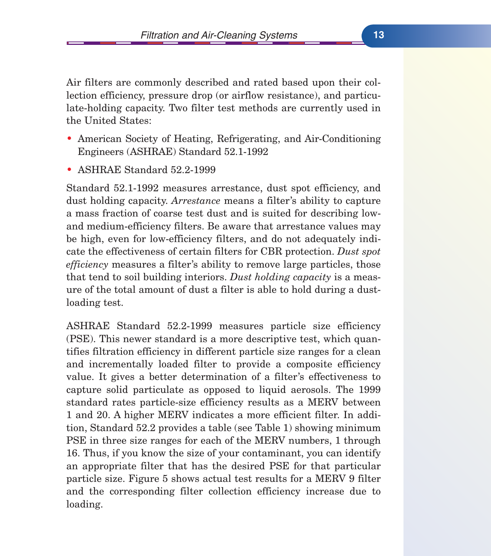Air filters are commonly described and rated based upon their collection efficiency, pressure drop (or airflow resistance), and particulate-holding capacity. Two filter test methods are currently used in the United States:

- American Society of Heating, Refrigerating, and Air-Conditioning Engineers (ASHRAE) Standard 52.1-1992
- ASHRAE Standard 52.2-1999

Standard 52.1-1992 measures arrestance, dust spot efficiency, and dust holding capacity. *Arrestance* means a filter's ability to capture a mass fraction of coarse test dust and is suited for describing lowand medium-efficiency filters. Be aware that arrestance values may be high, even for low-efficiency filters, and do not adequately indicate the effectiveness of certain filters for CBR protection. *Dust spot efficiency* measures a filter's ability to remove large particles, those that tend to soil building interiors. *Dust holding capacity* is a measure of the total amount of dust a filter is able to hold during a dustloading test.

ASHRAE Standard 52.2-1999 measures particle size efficiency (PSE). This newer standard is a more descriptive test, which quantifies filtration efficiency in different particle size ranges for a clean and incrementally loaded filter to provide a composite efficiency value. It gives a better determination of a filter's effectiveness to capture solid particulate as opposed to liquid aerosols. The 1999 standard rates particle-size efficiency results as a MERV between 1 and 20. A higher MERV indicates a more efficient filter. In addition, Standard 52.2 provides a table (see Table 1) showing minimum PSE in three size ranges for each of the MERV numbers, 1 through 16. Thus, if you know the size of your contaminant, you can identify an appropriate filter that has the desired PSE for that particular particle size. Figure 5 shows actual test results for a MERV 9 filter and the corresponding filter collection efficiency increase due to loading.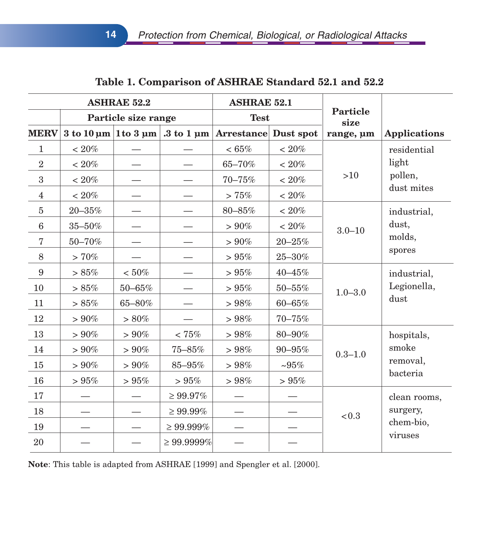| <b>ASHRAE 52.2</b> |                     | <b>ASHRAE 52.1</b> |                                                                        |                             |                         |             |                                    |
|--------------------|---------------------|--------------------|------------------------------------------------------------------------|-----------------------------|-------------------------|-------------|------------------------------------|
|                    | Particle size range |                    | <b>Test</b>                                                            |                             | <b>Particle</b><br>size |             |                                    |
| <b>MERV</b>        |                     |                    | $3 \text{ to } 10 \text{ µm}$ 1 to $3 \text{ µm}$ . 3 to 1 $\text{µm}$ | <b>Arrestance</b> Dust spot |                         | range, um   | <b>Applications</b>                |
| $\mathbf{1}$       | $< 20\%$            |                    |                                                                        | $< 65\%$                    | $<20\%$                 |             | residential                        |
| $\overline{2}$     | $<20\%$             |                    |                                                                        | 65-70%                      | $<20\%$                 |             | light                              |
| $\sqrt{3}$         | $<20\%$             |                    |                                                                        | $70 - 75%$                  | $<20\%$                 | $>10$       | pollen,                            |
| $\overline{4}$     | $<20\%$             |                    |                                                                        | > 75%                       | $<20\%$                 |             | dust mites                         |
| $\bf 5$            | $20 - 35%$          |                    |                                                                        | $80 - 85%$                  | $<20\%$                 |             | industrial,                        |
| $\,6\,$            | $35\text{--}50\%$   |                    |                                                                        | $>90\%$                     | $<20\%$                 | $3.0 - 10$  | dust,                              |
| $\overline{7}$     | 50-70%              |                    |                                                                        | $> 90\%$                    | $20 - 25%$              |             | molds,                             |
| $8\,$              | $>70\%$             |                    |                                                                        | > 95%                       | $25\text{--}30\%$       |             | spores                             |
| 9                  | $> 85\%$            | $< 50\%$           |                                                                        | >95%                        | 40-45%                  |             | industrial,<br>Legionella,<br>dust |
| 10                 | > 85%               | $50\text{--}65\%$  |                                                                        | > 95%                       | $50 - 55%$              | $1.0 - 3.0$ |                                    |
| 11                 | $>85\%$             | 65-80%             |                                                                        | $>98\%$                     | $60 - 65%$              |             |                                    |
| 12                 | $> 90\%$            | $> 80\%$           |                                                                        | >98%                        | $70 - 75%$              |             |                                    |
| 13                 | $>90\%$             | $> 90\%$           | $<75\%$                                                                | >98%                        | 80-90%                  |             | hospitals,                         |
| 14                 | $> 90\%$            | $>90\%$            | $75\text{--}85\%$                                                      | > 98%                       | 90-95%                  | $0.3 - 1.0$ | smoke                              |
| 15                 | $> 90\%$            | $> 90\%$           | 85-95%                                                                 | >98%                        | $~105\%$                |             | removal,                           |
| 16                 | > 95%               | > 95%              | $>95\%$                                                                | > 98%                       | $>95\%$                 |             | bacteria                           |
| 17                 |                     |                    | $\geq 99.97\%$                                                         |                             |                         | < 0.3       | clean rooms,                       |
| 18                 |                     |                    | $\geq 99.99\%$                                                         |                             |                         |             | surgery,                           |
| 19                 |                     |                    | $\geq 99.999\%$                                                        |                             |                         |             | chem-bio,                          |
| 20                 |                     |                    | $\geq 99.9999\%$                                                       |                             |                         |             | viruses                            |

#### **Table 1. Comparison of ASHRAE Standard 52.1 and 52.2**

**Note**: This table is adapted from ASHRAE [1999] and Spengler et al. [2000].

**14**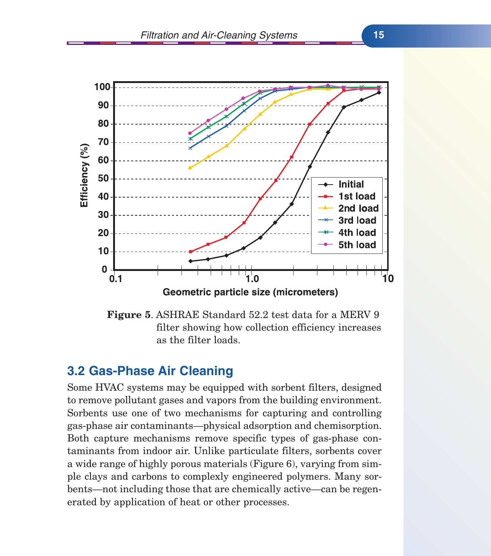



#### **3.2 Gas-Phase Air Cleaning**

Some HVAC systems may be equipped with sorbent filters, designed to remove pollutant gases and vapors from the building environment. Sorbents use one of two mechanisms for capturing and controlling gas-phase air contaminants—physical adsorption and chemisorption. Both capture mechanisms remove specific types of gas-phase contaminants from indoor air. Unlike particulate filters, sorbents cover a wide range of highly porous materials (Figure 6), varying from simple clays and carbons to complexly engineered polymers. Many sorbents—not including those that are chemically active—can be regenerated by application of heat or other processes.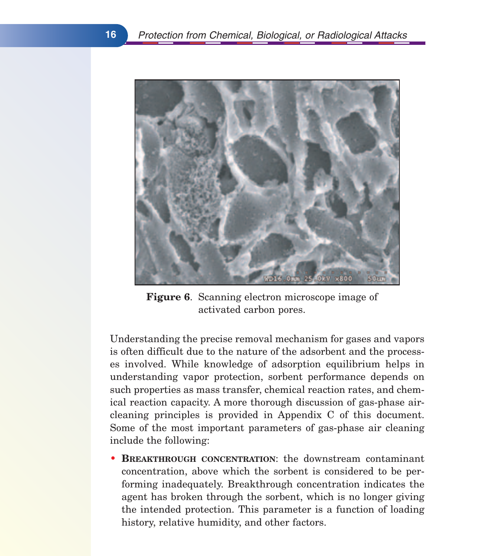

**Figure 6**. Scanning electron microscope image of activated carbon pores.

Understanding the precise removal mechanism for gases and vapors is often difficult due to the nature of the adsorbent and the processes involved. While knowledge of adsorption equilibrium helps in understanding vapor protection, sorbent performance depends on such properties as mass transfer, chemical reaction rates, and chemical reaction capacity. A more thorough discussion of gas-phase aircleaning principles is provided in Appendix C of this document. Some of the most important parameters of gas-phase air cleaning include the following:

• **BREAKTHROUGH CONCENTRATION**: the downstream contaminant concentration, above which the sorbent is considered to be performing inadequately. Breakthrough concentration indicates the agent has broken through the sorbent, which is no longer giving the intended protection. This parameter is a function of loading history, relative humidity, and other factors.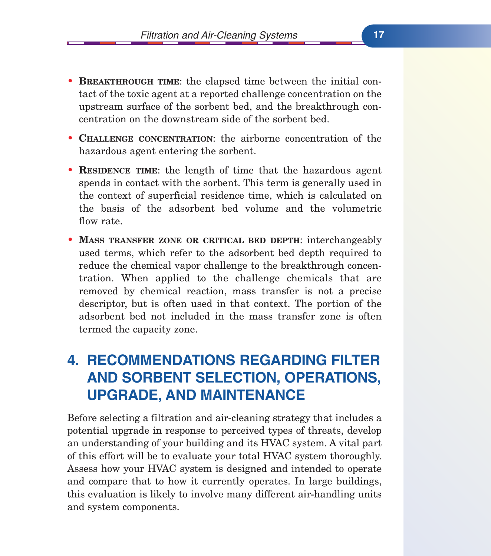- **BREAKTHROUGH TIME**: the elapsed time between the initial contact of the toxic agent at a reported challenge concentration on the upstream surface of the sorbent bed, and the breakthrough concentration on the downstream side of the sorbent bed.
- **CHALLENGE CONCENTRATION**: the airborne concentration of the hazardous agent entering the sorbent.
- **RESIDENCE TIME**: the length of time that the hazardous agent spends in contact with the sorbent. This term is generally used in the context of superficial residence time, which is calculated on the basis of the adsorbent bed volume and the volumetric flow rate.
- **MASS TRANSFER ZONE OR CRITICAL BED DEPTH**: interchangeably used terms, which refer to the adsorbent bed depth required to reduce the chemical vapor challenge to the breakthrough concentration. When applied to the challenge chemicals that are removed by chemical reaction, mass transfer is not a precise descriptor, but is often used in that context. The portion of the adsorbent bed not included in the mass transfer zone is often termed the capacity zone.

# **4. RECOMMENDATIONS REGARDING FILTER AND SORBENT SELECTION, OPERATIONS, UPGRADE, AND MAINTENANCE**

Before selecting a filtration and air-cleaning strategy that includes a potential upgrade in response to perceived types of threats, develop an understanding of your building and its HVAC system. A vital part of this effort will be to evaluate your total HVAC system thoroughly. Assess how your HVAC system is designed and intended to operate and compare that to how it currently operates. In large buildings, this evaluation is likely to involve many different air-handling units and system components.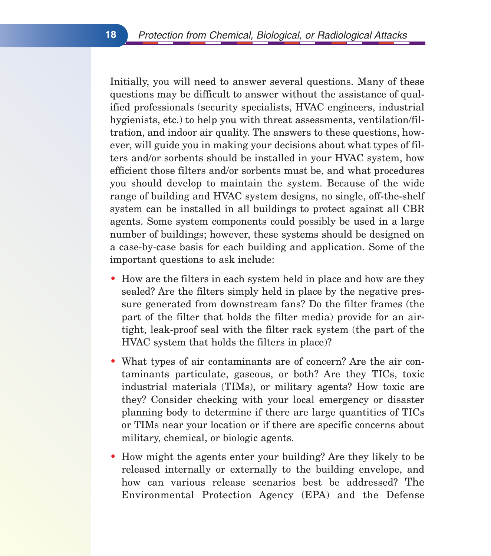Initially, you will need to answer several questions. Many of these questions may be difficult to answer without the assistance of qualified professionals (security specialists, HVAC engineers, industrial hygienists, etc.) to help you with threat assessments, ventilation/filtration, and indoor air quality. The answers to these questions, however, will guide you in making your decisions about what types of filters and/or sorbents should be installed in your HVAC system, how efficient those filters and/or sorbents must be, and what procedures you should develop to maintain the system. Because of the wide range of building and HVAC system designs, no single, off-the-shelf system can be installed in all buildings to protect against all CBR agents. Some system components could possibly be used in a large number of buildings; however, these systems should be designed on a case-by-case basis for each building and application. Some of the important questions to ask include:

- How are the filters in each system held in place and how are they sealed? Are the filters simply held in place by the negative pressure generated from downstream fans? Do the filter frames (the part of the filter that holds the filter media) provide for an airtight, leak-proof seal with the filter rack system (the part of the HVAC system that holds the filters in place)?
- What types of air contaminants are of concern? Are the air contaminants particulate, gaseous, or both? Are they TICs, toxic industrial materials (TIMs), or military agents? How toxic are they? Consider checking with your local emergency or disaster planning body to determine if there are large quantities of TICs or TIMs near your location or if there are specific concerns about military, chemical, or biologic agents.
- How might the agents enter your building? Are they likely to be released internally or externally to the building envelope, and how can various release scenarios best be addressed? The Environmental Protection Agency (EPA) and the Defense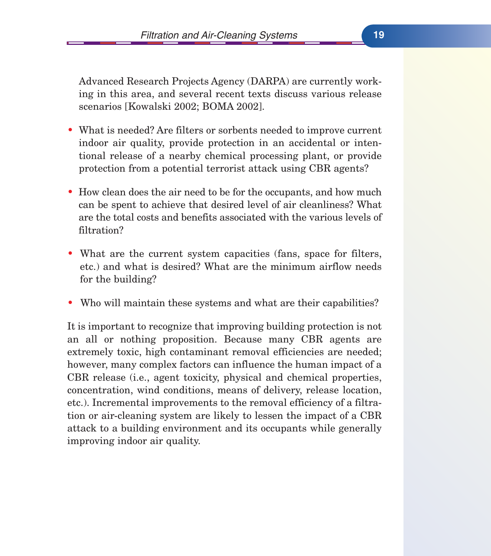Advanced Research Projects Agency (DARPA) are currently working in this area, and several recent texts discuss various release scenarios [Kowalski 2002; BOMA 2002].

- What is needed? Are filters or sorbents needed to improve current indoor air quality, provide protection in an accidental or intentional release of a nearby chemical processing plant, or provide protection from a potential terrorist attack using CBR agents?
- How clean does the air need to be for the occupants, and how much can be spent to achieve that desired level of air cleanliness? What are the total costs and benefits associated with the various levels of filtration?
- What are the current system capacities (fans, space for filters, etc.) and what is desired? What are the minimum airflow needs for the building?
- Who will maintain these systems and what are their capabilities?

It is important to recognize that improving building protection is not an all or nothing proposition. Because many CBR agents are extremely toxic, high contaminant removal efficiencies are needed; however, many complex factors can influence the human impact of a CBR release (i.e., agent toxicity, physical and chemical properties, concentration, wind conditions, means of delivery, release location, etc.). Incremental improvements to the removal efficiency of a filtration or air-cleaning system are likely to lessen the impact of a CBR attack to a building environment and its occupants while generally improving indoor air quality.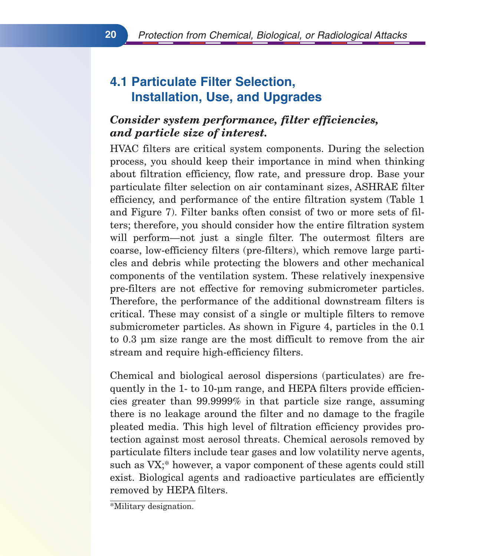# **4.1 Particulate Filter Selection, Installation, Use, and Upgrades**

#### *Consider system performance, filter efficiencies, and particle size of interest.*

HVAC filters are critical system components. During the selection process, you should keep their importance in mind when thinking about filtration efficiency, flow rate, and pressure drop. Base your particulate filter selection on air contaminant sizes, ASHRAE filter efficiency, and performance of the entire filtration system (Table 1 and Figure 7). Filter banks often consist of two or more sets of filters; therefore, you should consider how the entire filtration system will perform—not just a single filter. The outermost filters are coarse, low-efficiency filters (pre-filters), which remove large particles and debris while protecting the blowers and other mechanical components of the ventilation system. These relatively inexpensive pre-filters are not effective for removing submicrometer particles. Therefore, the performance of the additional downstream filters is critical. These may consist of a single or multiple filters to remove submicrometer particles. As shown in Figure 4, particles in the 0.1 to 0.3 µm size range are the most difficult to remove from the air stream and require high-efficiency filters.

Chemical and biological aerosol dispersions (particulates) are frequently in the 1- to 10-µm range, and HEPA filters provide efficiencies greater than 99.9999% in that particle size range, assuming there is no leakage around the filter and no damage to the fragile pleated media. This high level of filtration efficiency provides protection against most aerosol threats. Chemical aerosols removed by particulate filters include tear gases and low volatility nerve agents, such as VX;\* however, a vapor component of these agents could still exist. Biological agents and radioactive particulates are efficiently removed by HEPA filters.

\*Military designation.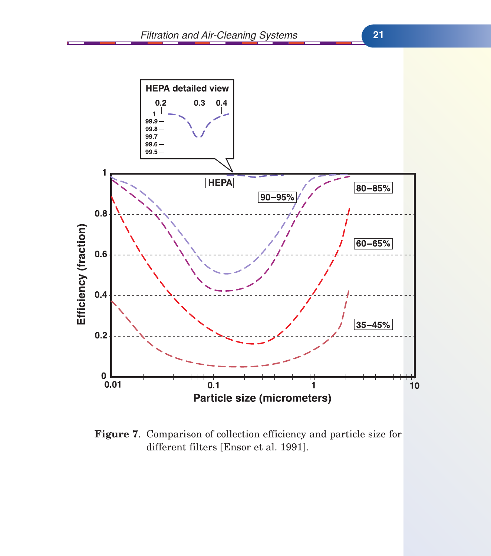

**Figure 7**. Comparison of collection efficiency and particle size for different filters [Ensor et al. 1991].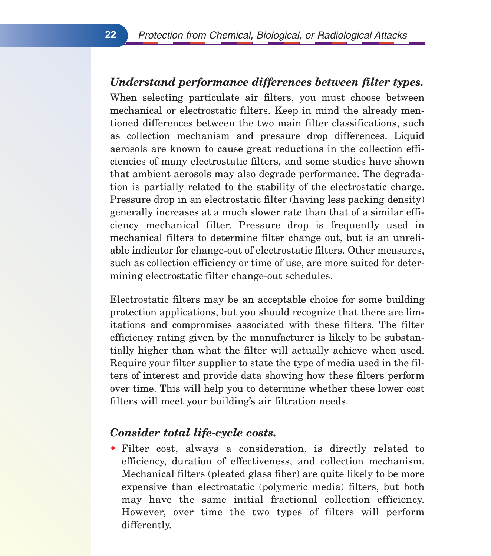#### *Understand performance differences between filter types.*

When selecting particulate air filters, you must choose between mechanical or electrostatic filters. Keep in mind the already mentioned differences between the two main filter classifications, such as collection mechanism and pressure drop differences. Liquid aerosols are known to cause great reductions in the collection efficiencies of many electrostatic filters, and some studies have shown that ambient aerosols may also degrade performance. The degradation is partially related to the stability of the electrostatic charge. Pressure drop in an electrostatic filter (having less packing density) generally increases at a much slower rate than that of a similar efficiency mechanical filter. Pressure drop is frequently used in mechanical filters to determine filter change out, but is an unreliable indicator for change-out of electrostatic filters. Other measures, such as collection efficiency or time of use, are more suited for determining electrostatic filter change-out schedules.

Electrostatic filters may be an acceptable choice for some building protection applications, but you should recognize that there are limitations and compromises associated with these filters. The filter efficiency rating given by the manufacturer is likely to be substantially higher than what the filter will actually achieve when used. Require your filter supplier to state the type of media used in the filters of interest and provide data showing how these filters perform over time. This will help you to determine whether these lower cost filters will meet your building's air filtration needs.

#### *Consider total life-cycle costs.*

• Filter cost, always a consideration, is directly related to efficiency, duration of effectiveness, and collection mechanism. Mechanical filters (pleated glass fiber) are quite likely to be more expensive than electrostatic (polymeric media) filters, but both may have the same initial fractional collection efficiency. However, over time the two types of filters will perform differently.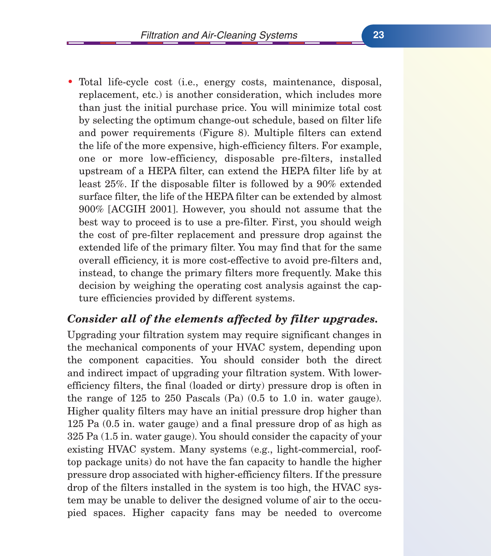• Total life-cycle cost (i.e., energy costs, maintenance, disposal, replacement, etc.) is another consideration, which includes more than just the initial purchase price. You will minimize total cost by selecting the optimum change-out schedule, based on filter life and power requirements (Figure 8). Multiple filters can extend the life of the more expensive, high-efficiency filters. For example, one or more low-efficiency, disposable pre-filters, installed upstream of a HEPA filter, can extend the HEPA filter life by at least 25%. If the disposable filter is followed by a 90% extended surface filter, the life of the HEPA filter can be extended by almost 900% [ACGIH 2001]. However, you should not assume that the best way to proceed is to use a pre-filter. First, you should weigh the cost of pre-filter replacement and pressure drop against the extended life of the primary filter. You may find that for the same overall efficiency, it is more cost-effective to avoid pre-filters and, instead, to change the primary filters more frequently. Make this decision by weighing the operating cost analysis against the capture efficiencies provided by different systems.

#### *Consider all of the elements affected by filter upgrades.*

Upgrading your filtration system may require significant changes in the mechanical components of your HVAC system, depending upon the component capacities. You should consider both the direct and indirect impact of upgrading your filtration system. With lowerefficiency filters, the final (loaded or dirty) pressure drop is often in the range of 125 to 250 Pascals (Pa) (0.5 to 1.0 in. water gauge). Higher quality filters may have an initial pressure drop higher than 125 Pa (0.5 in. water gauge) and a final pressure drop of as high as 325 Pa (1.5 in. water gauge). You should consider the capacity of your existing HVAC system. Many systems (e.g., light-commercial, rooftop package units) do not have the fan capacity to handle the higher pressure drop associated with higher-efficiency filters. If the pressure drop of the filters installed in the system is too high, the HVAC system may be unable to deliver the designed volume of air to the occupied spaces. Higher capacity fans may be needed to overcome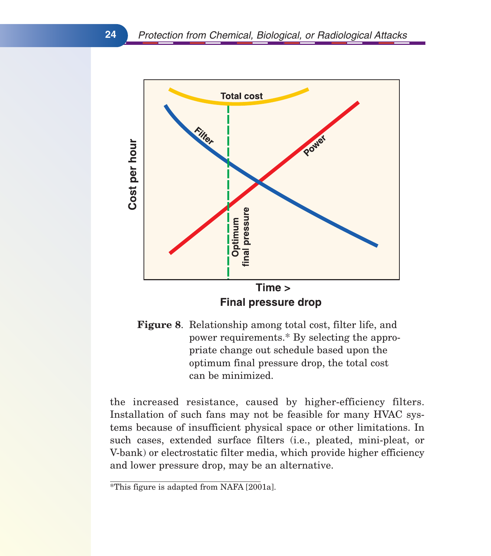

**Figure 8**. Relationship among total cost, filter life, and power requirements.\* By selecting the appropriate change out schedule based upon the optimum final pressure drop, the total cost can be minimized.

the increased resistance, caused by higher-efficiency filters. Installation of such fans may not be feasible for many HVAC systems because of insufficient physical space or other limitations. In such cases, extended surface filters (i.e., pleated, mini-pleat, or V-bank) or electrostatic filter media, which provide higher efficiency and lower pressure drop, may be an alternative.

 $\overline{\text{F}}$ This figure is adapted from NAFA [2001a].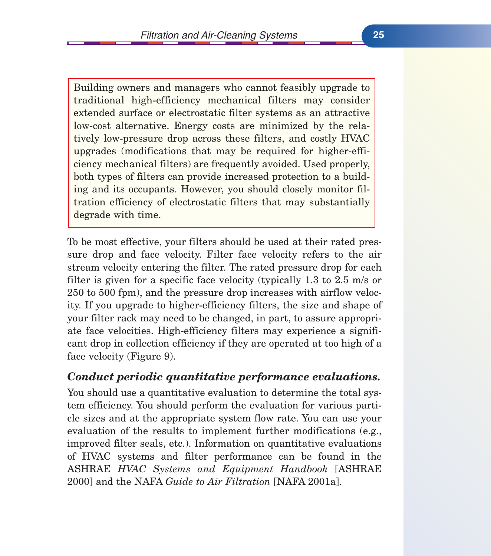Building owners and managers who cannot feasibly upgrade to traditional high-efficiency mechanical filters may consider extended surface or electrostatic filter systems as an attractive low-cost alternative. Energy costs are minimized by the relatively low-pressure drop across these filters, and costly HVAC upgrades (modifications that may be required for higher-efficiency mechanical filters) are frequently avoided. Used properly, both types of filters can provide increased protection to a building and its occupants. However, you should closely monitor filtration efficiency of electrostatic filters that may substantially degrade with time.

To be most effective, your filters should be used at their rated pressure drop and face velocity. Filter face velocity refers to the air stream velocity entering the filter. The rated pressure drop for each filter is given for a specific face velocity (typically 1.3 to 2.5 m/s or 250 to 500 fpm), and the pressure drop increases with airflow velocity. If you upgrade to higher-efficiency filters, the size and shape of your filter rack may need to be changed, in part, to assure appropriate face velocities. High-efficiency filters may experience a significant drop in collection efficiency if they are operated at too high of a face velocity (Figure 9).

#### *Conduct periodic quantitative performance evaluations.*

You should use a quantitative evaluation to determine the total system efficiency. You should perform the evaluation for various particle sizes and at the appropriate system flow rate. You can use your evaluation of the results to implement further modifications (e.g., improved filter seals, etc.). Information on quantitative evaluations of HVAC systems and filter performance can be found in the ASHRAE *HVAC Systems and Equipment Handbook* [ASHRAE 2000] and the NAFA *Guide to Air Filtration* [NAFA 2001a].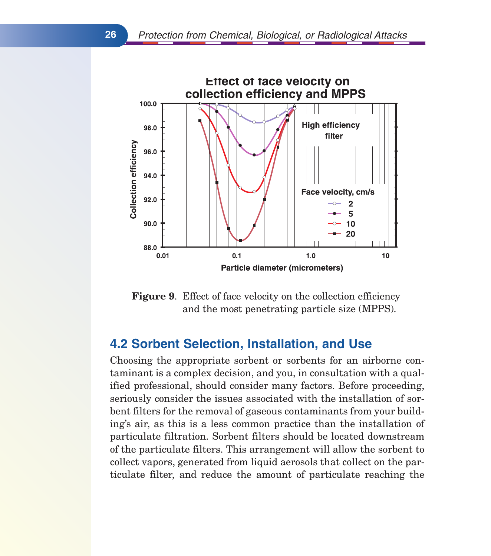

**Figure 9**. Effect of face velocity on the collection efficiency and the most penetrating particle size (MPPS).

#### **4.2 Sorbent Selection, Installation, and Use**

Choosing the appropriate sorbent or sorbents for an airborne contaminant is a complex decision, and you, in consultation with a qualified professional, should consider many factors. Before proceeding, seriously consider the issues associated with the installation of sorbent filters for the removal of gaseous contaminants from your building's air, as this is a less common practice than the installation of particulate filtration. Sorbent filters should be located downstream of the particulate filters. This arrangement will allow the sorbent to collect vapors, generated from liquid aerosols that collect on the particulate filter, and reduce the amount of particulate reaching the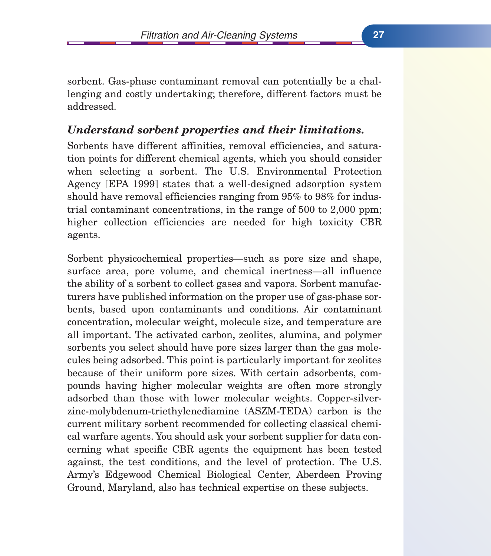sorbent. Gas-phase contaminant removal can potentially be a challenging and costly undertaking; therefore, different factors must be addressed.

#### *Understand sorbent properties and their limitations.*

Sorbents have different affinities, removal efficiencies, and saturation points for different chemical agents, which you should consider when selecting a sorbent. The U.S. Environmental Protection Agency [EPA 1999] states that a well-designed adsorption system should have removal efficiencies ranging from 95% to 98% for industrial contaminant concentrations, in the range of 500 to 2,000 ppm; higher collection efficiencies are needed for high toxicity CBR agents.

Sorbent physicochemical properties—such as pore size and shape, surface area, pore volume, and chemical inertness—all influence the ability of a sorbent to collect gases and vapors. Sorbent manufacturers have published information on the proper use of gas-phase sorbents, based upon contaminants and conditions. Air contaminant concentration, molecular weight, molecule size, and temperature are all important. The activated carbon, zeolites, alumina, and polymer sorbents you select should have pore sizes larger than the gas molecules being adsorbed. This point is particularly important for zeolites because of their uniform pore sizes. With certain adsorbents, compounds having higher molecular weights are often more strongly adsorbed than those with lower molecular weights. Copper-silverzinc-molybdenum-triethylenediamine (ASZM-TEDA) carbon is the current military sorbent recommended for collecting classical chemical warfare agents. You should ask your sorbent supplier for data concerning what specific CBR agents the equipment has been tested against, the test conditions, and the level of protection. The U.S. Army's Edgewood Chemical Biological Center, Aberdeen Proving Ground, Maryland, also has technical expertise on these subjects.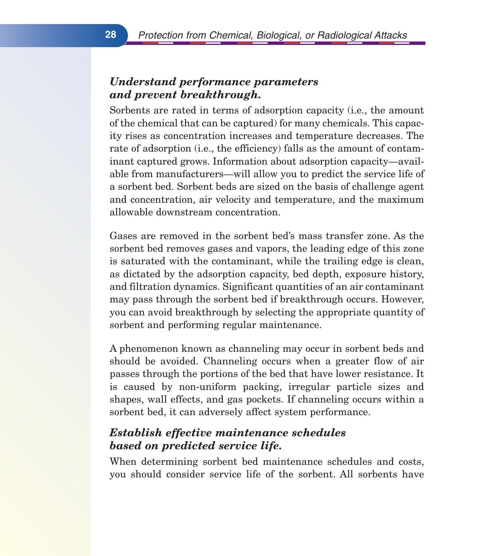#### *Understand performance parameters and prevent breakthrough.*

Sorbents are rated in terms of adsorption capacity (i.e., the amount of the chemical that can be captured) for many chemicals. This capacity rises as concentration increases and temperature decreases. The rate of adsorption (i.e., the efficiency) falls as the amount of contaminant captured grows. Information about adsorption capacity—available from manufacturers—will allow you to predict the service life of a sorbent bed. Sorbent beds are sized on the basis of challenge agent and concentration, air velocity and temperature, and the maximum allowable downstream concentration.

Gases are removed in the sorbent bed's mass transfer zone. As the sorbent bed removes gases and vapors, the leading edge of this zone is saturated with the contaminant, while the trailing edge is clean, as dictated by the adsorption capacity, bed depth, exposure history, and filtration dynamics. Significant quantities of an air contaminant may pass through the sorbent bed if breakthrough occurs. However, you can avoid breakthrough by selecting the appropriate quantity of sorbent and performing regular maintenance.

A phenomenon known as channeling may occur in sorbent beds and should be avoided. Channeling occurs when a greater flow of air passes through the portions of the bed that have lower resistance. It is caused by non-uniform packing, irregular particle sizes and shapes, wall effects, and gas pockets. If channeling occurs within a sorbent bed, it can adversely affect system performance.

## *Establish effective maintenance schedules based on predicted service life.*

When determining sorbent bed maintenance schedules and costs, you should consider service life of the sorbent. All sorbents have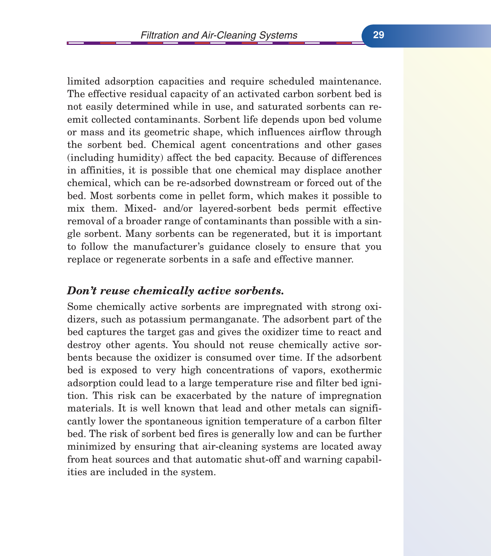limited adsorption capacities and require scheduled maintenance. The effective residual capacity of an activated carbon sorbent bed is not easily determined while in use, and saturated sorbents can reemit collected contaminants. Sorbent life depends upon bed volume or mass and its geometric shape, which influences airflow through the sorbent bed. Chemical agent concentrations and other gases (including humidity) affect the bed capacity. Because of differences in affinities, it is possible that one chemical may displace another chemical, which can be re-adsorbed downstream or forced out of the bed. Most sorbents come in pellet form, which makes it possible to mix them. Mixed- and/or layered-sorbent beds permit effective removal of a broader range of contaminants than possible with a single sorbent. Many sorbents can be regenerated, but it is important to follow the manufacturer's guidance closely to ensure that you replace or regenerate sorbents in a safe and effective manner.

#### *Don't reuse chemically active sorbents.*

Some chemically active sorbents are impregnated with strong oxidizers, such as potassium permanganate. The adsorbent part of the bed captures the target gas and gives the oxidizer time to react and destroy other agents. You should not reuse chemically active sorbents because the oxidizer is consumed over time. If the adsorbent bed is exposed to very high concentrations of vapors, exothermic adsorption could lead to a large temperature rise and filter bed ignition. This risk can be exacerbated by the nature of impregnation materials. It is well known that lead and other metals can significantly lower the spontaneous ignition temperature of a carbon filter bed. The risk of sorbent bed fires is generally low and can be further minimized by ensuring that air-cleaning systems are located away from heat sources and that automatic shut-off and warning capabilities are included in the system.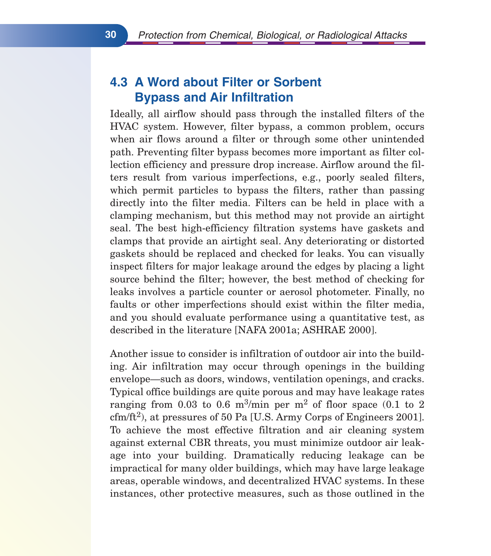# **4.3 A Word about Filter or Sorbent Bypass and Air Infiltration**

Ideally, all airflow should pass through the installed filters of the HVAC system. However, filter bypass, a common problem, occurs when air flows around a filter or through some other unintended path. Preventing filter bypass becomes more important as filter collection efficiency and pressure drop increase. Airflow around the filters result from various imperfections, e.g., poorly sealed filters, which permit particles to bypass the filters, rather than passing directly into the filter media. Filters can be held in place with a clamping mechanism, but this method may not provide an airtight seal. The best high-efficiency filtration systems have gaskets and clamps that provide an airtight seal. Any deteriorating or distorted gaskets should be replaced and checked for leaks. You can visually inspect filters for major leakage around the edges by placing a light source behind the filter; however, the best method of checking for leaks involves a particle counter or aerosol photometer. Finally, no faults or other imperfections should exist within the filter media, and you should evaluate performance using a quantitative test, as described in the literature [NAFA 2001a; ASHRAE 2000].

Another issue to consider is infiltration of outdoor air into the building. Air infiltration may occur through openings in the building envelope—such as doors, windows, ventilation openings, and cracks. Typical office buildings are quite porous and may have leakage rates ranging from 0.03 to 0.6 m<sup>3</sup>/min per m<sup>2</sup> of floor space  $(0.1 \text{ to } 2)$  $\text{cfm/ft}^2$ , at pressures of 50 Pa [U.S. Army Corps of Engineers 2001]. To achieve the most effective filtration and air cleaning system against external CBR threats, you must minimize outdoor air leakage into your building. Dramatically reducing leakage can be impractical for many older buildings, which may have large leakage areas, operable windows, and decentralized HVAC systems. In these instances, other protective measures, such as those outlined in the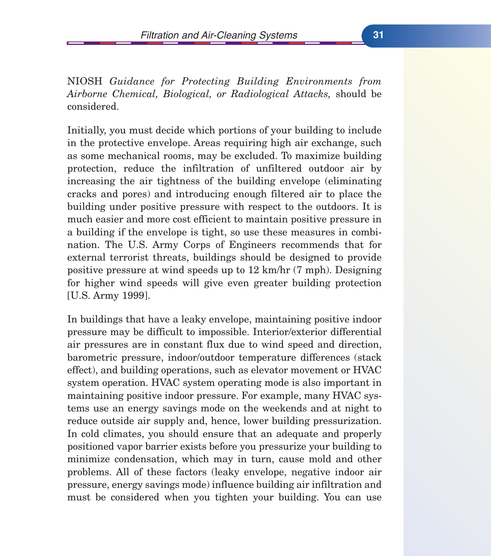NIOSH *Guidance for Protecting Building Environments from Airborne Chemical, Biological, or Radiological Attacks,* should be considered.

Initially, you must decide which portions of your building to include in the protective envelope. Areas requiring high air exchange, such as some mechanical rooms, may be excluded. To maximize building protection, reduce the infiltration of unfiltered outdoor air by increasing the air tightness of the building envelope (eliminating cracks and pores) and introducing enough filtered air to place the building under positive pressure with respect to the outdoors. It is much easier and more cost efficient to maintain positive pressure in a building if the envelope is tight, so use these measures in combination. The U.S. Army Corps of Engineers recommends that for external terrorist threats, buildings should be designed to provide positive pressure at wind speeds up to 12 km/hr (7 mph). Designing for higher wind speeds will give even greater building protection [U.S. Army 1999].

In buildings that have a leaky envelope, maintaining positive indoor pressure may be difficult to impossible. Interior/exterior differential air pressures are in constant flux due to wind speed and direction, barometric pressure, indoor/outdoor temperature differences (stack effect), and building operations, such as elevator movement or HVAC system operation. HVAC system operating mode is also important in maintaining positive indoor pressure. For example, many HVAC systems use an energy savings mode on the weekends and at night to reduce outside air supply and, hence, lower building pressurization. In cold climates, you should ensure that an adequate and properly positioned vapor barrier exists before you pressurize your building to minimize condensation, which may in turn, cause mold and other problems. All of these factors (leaky envelope, negative indoor air pressure, energy savings mode) influence building air infiltration and must be considered when you tighten your building. You can use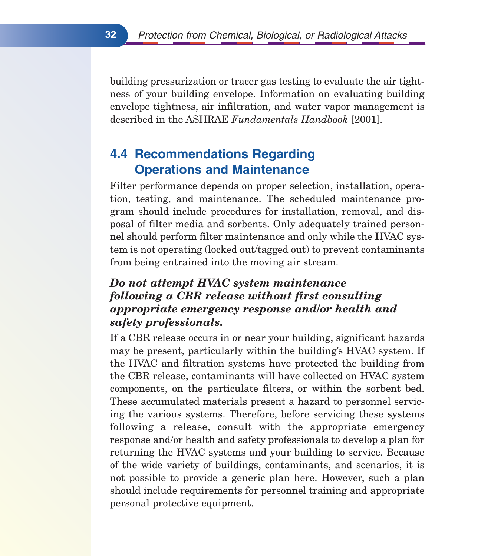building pressurization or tracer gas testing to evaluate the air tightness of your building envelope. Information on evaluating building envelope tightness, air infiltration, and water vapor management is described in the ASHRAE *Fundamentals Handbook* [2001].

# **4.4 Recommendations Regarding Operations and Maintenance**

Filter performance depends on proper selection, installation, operation, testing, and maintenance. The scheduled maintenance program should include procedures for installation, removal, and disposal of filter media and sorbents. Only adequately trained personnel should perform filter maintenance and only while the HVAC system is not operating (locked out/tagged out) to prevent contaminants from being entrained into the moving air stream.

## *Do not attempt HVAC system maintenance following a CBR release without first consulting appropriate emergency response and/or health and safety professionals.*

If a CBR release occurs in or near your building, significant hazards may be present, particularly within the building's HVAC system. If the HVAC and filtration systems have protected the building from the CBR release, contaminants will have collected on HVAC system components, on the particulate filters, or within the sorbent bed. These accumulated materials present a hazard to personnel servicing the various systems. Therefore, before servicing these systems following a release, consult with the appropriate emergency response and/or health and safety professionals to develop a plan for returning the HVAC systems and your building to service. Because of the wide variety of buildings, contaminants, and scenarios, it is not possible to provide a generic plan here. However, such a plan should include requirements for personnel training and appropriate personal protective equipment.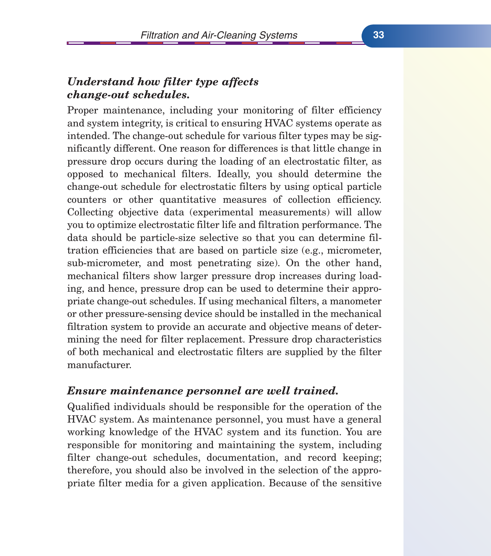#### *Understand how filter type affects change-out schedules.*

Proper maintenance, including your monitoring of filter efficiency and system integrity, is critical to ensuring HVAC systems operate as intended. The change-out schedule for various filter types may be significantly different. One reason for differences is that little change in pressure drop occurs during the loading of an electrostatic filter, as opposed to mechanical filters. Ideally, you should determine the change-out schedule for electrostatic filters by using optical particle counters or other quantitative measures of collection efficiency. Collecting objective data (experimental measurements) will allow you to optimize electrostatic filter life and filtration performance. The data should be particle-size selective so that you can determine filtration efficiencies that are based on particle size (e.g., micrometer, sub-micrometer, and most penetrating size). On the other hand, mechanical filters show larger pressure drop increases during loading, and hence, pressure drop can be used to determine their appropriate change-out schedules. If using mechanical filters, a manometer or other pressure-sensing device should be installed in the mechanical filtration system to provide an accurate and objective means of determining the need for filter replacement. Pressure drop characteristics of both mechanical and electrostatic filters are supplied by the filter manufacturer.

#### *Ensure maintenance personnel are well trained.*

Qualified individuals should be responsible for the operation of the HVAC system. As maintenance personnel, you must have a general working knowledge of the HVAC system and its function. You are responsible for monitoring and maintaining the system, including filter change-out schedules, documentation, and record keeping; therefore, you should also be involved in the selection of the appropriate filter media for a given application. Because of the sensitive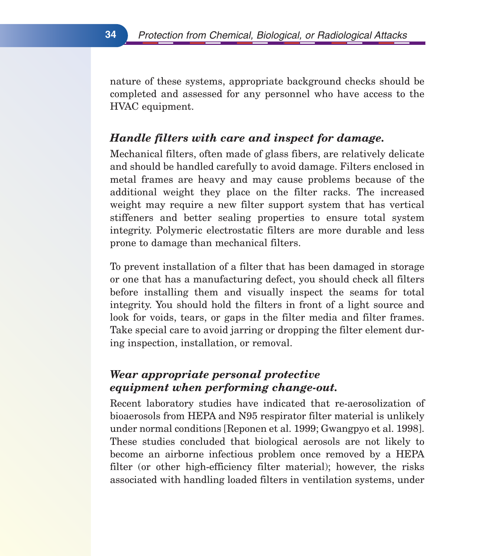nature of these systems, appropriate background checks should be completed and assessed for any personnel who have access to the HVAC equipment.

#### *Handle filters with care and inspect for damage.*

Mechanical filters, often made of glass fibers, are relatively delicate and should be handled carefully to avoid damage. Filters enclosed in metal frames are heavy and may cause problems because of the additional weight they place on the filter racks. The increased weight may require a new filter support system that has vertical stiffeners and better sealing properties to ensure total system integrity. Polymeric electrostatic filters are more durable and less prone to damage than mechanical filters.

To prevent installation of a filter that has been damaged in storage or one that has a manufacturing defect, you should check all filters before installing them and visually inspect the seams for total integrity. You should hold the filters in front of a light source and look for voids, tears, or gaps in the filter media and filter frames. Take special care to avoid jarring or dropping the filter element during inspection, installation, or removal.

#### *Wear appropriate personal protective equipment when performing change-out.*

Recent laboratory studies have indicated that re-aerosolization of bioaerosols from HEPA and N95 respirator filter material is unlikely under normal conditions [Reponen et al. 1999; Gwangpyo et al. 1998]. These studies concluded that biological aerosols are not likely to become an airborne infectious problem once removed by a HEPA filter (or other high-efficiency filter material); however, the risks associated with handling loaded filters in ventilation systems, under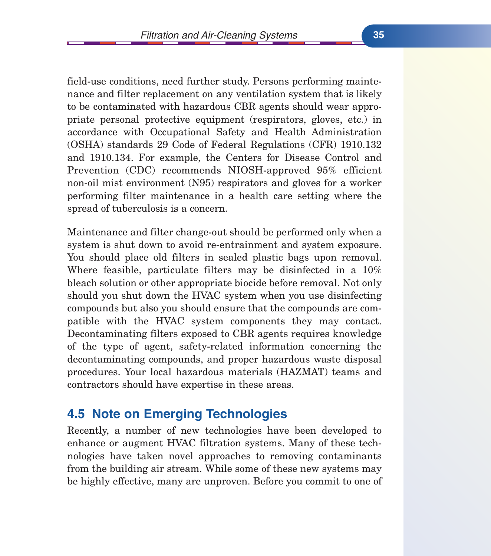field-use conditions, need further study. Persons performing maintenance and filter replacement on any ventilation system that is likely to be contaminated with hazardous CBR agents should wear appropriate personal protective equipment (respirators, gloves, etc.) in accordance with Occupational Safety and Health Administration (OSHA) standards 29 Code of Federal Regulations (CFR) 1910.132 and 1910.134. For example, the Centers for Disease Control and Prevention (CDC) recommends NIOSH-approved 95% efficient non-oil mist environment (N95) respirators and gloves for a worker performing filter maintenance in a health care setting where the spread of tuberculosis is a concern.

Maintenance and filter change-out should be performed only when a system is shut down to avoid re-entrainment and system exposure. You should place old filters in sealed plastic bags upon removal. Where feasible, particulate filters may be disinfected in a 10% bleach solution or other appropriate biocide before removal. Not only should you shut down the HVAC system when you use disinfecting compounds but also you should ensure that the compounds are compatible with the HVAC system components they may contact. Decontaminating filters exposed to CBR agents requires knowledge of the type of agent, safety-related information concerning the decontaminating compounds, and proper hazardous waste disposal procedures. Your local hazardous materials (HAZMAT) teams and contractors should have expertise in these areas.

## **4.5 Note on Emerging Technologies**

Recently, a number of new technologies have been developed to enhance or augment HVAC filtration systems. Many of these technologies have taken novel approaches to removing contaminants from the building air stream. While some of these new systems may be highly effective, many are unproven. Before you commit to one of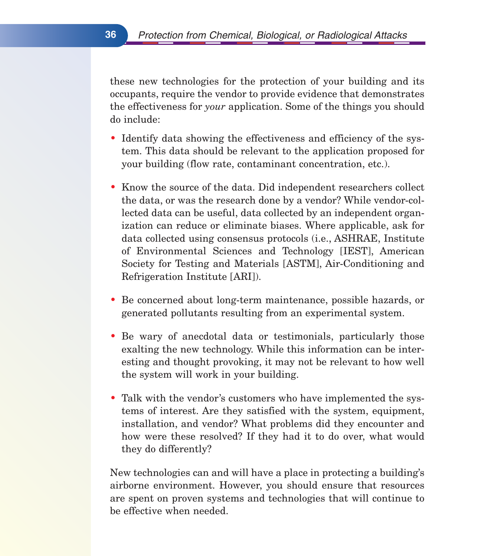these new technologies for the protection of your building and its occupants, require the vendor to provide evidence that demonstrates the effectiveness for *your* application. Some of the things you should do include:

- Identify data showing the effectiveness and efficiency of the system. This data should be relevant to the application proposed for your building (flow rate, contaminant concentration, etc.).
- Know the source of the data. Did independent researchers collect the data, or was the research done by a vendor? While vendor-collected data can be useful, data collected by an independent organization can reduce or eliminate biases. Where applicable, ask for data collected using consensus protocols (i.e., ASHRAE, Institute of Environmental Sciences and Technology [IEST], American Society for Testing and Materials [ASTM], Air-Conditioning and Refrigeration Institute [ARI]).
- Be concerned about long-term maintenance, possible hazards, or generated pollutants resulting from an experimental system.
- Be wary of anecdotal data or testimonials, particularly those exalting the new technology. While this information can be interesting and thought provoking, it may not be relevant to how well the system will work in your building.
- Talk with the vendor's customers who have implemented the systems of interest. Are they satisfied with the system, equipment, installation, and vendor? What problems did they encounter and how were these resolved? If they had it to do over, what would they do differently?

New technologies can and will have a place in protecting a building's airborne environment. However, you should ensure that resources are spent on proven systems and technologies that will continue to be effective when needed.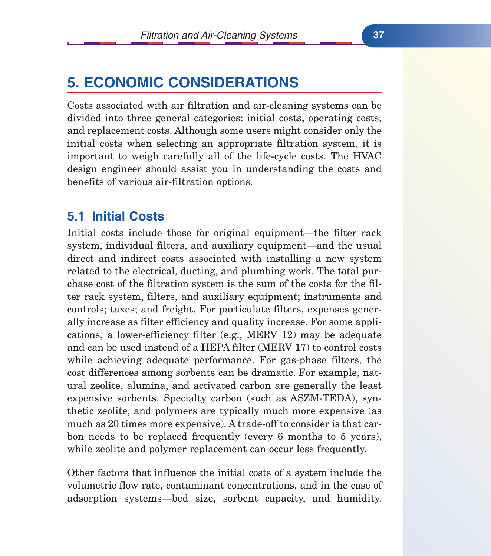# **5. ECONOMIC CONSIDERATIONS**

Costs associated with air filtration and air-cleaning systems can be divided into three general categories: initial costs, operating costs, and replacement costs. Although some users might consider only the initial costs when selecting an appropriate filtration system, it is important to weigh carefully all of the life-cycle costs. The HVAC design engineer should assist you in understanding the costs and benefits of various air-filtration options.

## **5.1 Initial Costs**

Initial costs include those for original equipment—the filter rack system, individual filters, and auxiliary equipment—and the usual direct and indirect costs associated with installing a new system related to the electrical, ducting, and plumbing work. The total purchase cost of the filtration system is the sum of the costs for the filter rack system, filters, and auxiliary equipment; instruments and controls; taxes; and freight. For particulate filters, expenses generally increase as filter efficiency and quality increase. For some applications, a lower-efficiency filter (e.g., MERV 12) may be adequate and can be used instead of a HEPA filter (MERV 17) to control costs while achieving adequate performance. For gas-phase filters, the cost differences among sorbents can be dramatic. For example, natural zeolite, alumina, and activated carbon are generally the least expensive sorbents. Specialty carbon (such as ASZM-TEDA), synthetic zeolite, and polymers are typically much more expensive (as much as 20 times more expensive). A trade-off to consider is that carbon needs to be replaced frequently (every 6 months to 5 years), while zeolite and polymer replacement can occur less frequently.

Other factors that influence the initial costs of a system include the volumetric flow rate, contaminant concentrations, and in the case of adsorption systems—bed size, sorbent capacity, and humidity.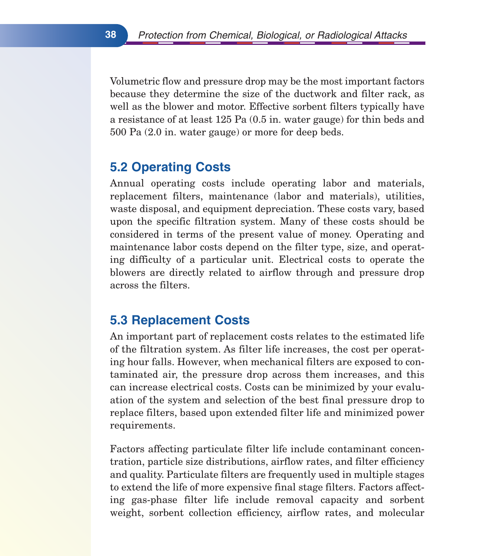Volumetric flow and pressure drop may be the most important factors because they determine the size of the ductwork and filter rack, as well as the blower and motor. Effective sorbent filters typically have a resistance of at least 125 Pa (0.5 in. water gauge) for thin beds and 500 Pa (2.0 in. water gauge) or more for deep beds.

# **5.2 Operating Costs**

Annual operating costs include operating labor and materials, replacement filters, maintenance (labor and materials), utilities, waste disposal, and equipment depreciation. These costs vary, based upon the specific filtration system. Many of these costs should be considered in terms of the present value of money. Operating and maintenance labor costs depend on the filter type, size, and operating difficulty of a particular unit. Electrical costs to operate the blowers are directly related to airflow through and pressure drop across the filters.

## **5.3 Replacement Costs**

An important part of replacement costs relates to the estimated life of the filtration system. As filter life increases, the cost per operating hour falls. However, when mechanical filters are exposed to contaminated air, the pressure drop across them increases, and this can increase electrical costs. Costs can be minimized by your evaluation of the system and selection of the best final pressure drop to replace filters, based upon extended filter life and minimized power requirements.

Factors affecting particulate filter life include contaminant concentration, particle size distributions, airflow rates, and filter efficiency and quality. Particulate filters are frequently used in multiple stages to extend the life of more expensive final stage filters. Factors affecting gas-phase filter life include removal capacity and sorbent weight, sorbent collection efficiency, airflow rates, and molecular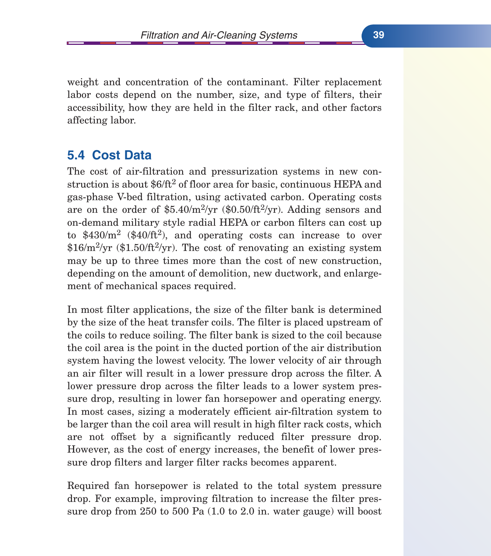weight and concentration of the contaminant. Filter replacement labor costs depend on the number, size, and type of filters, their accessibility, how they are held in the filter rack, and other factors affecting labor.

## **5.4 Cost Data**

The cost of air-filtration and pressurization systems in new construction is about  $$6/ft^2$  of floor area for basic, continuous HEPA and gas-phase V-bed filtration, using activated carbon. Operating costs are on the order of  $$5.40/m^2/yr$  (\$0.50/ft<sup>2</sup>/yr). Adding sensors and on-demand military style radial HEPA or carbon filters can cost up to  $$430/m^2$  (\$40/ft<sup>2</sup>), and operating costs can increase to over  $$16/m^2/yr$  (\$1.50/ft<sup>2</sup>/yr). The cost of renovating an existing system may be up to three times more than the cost of new construction, depending on the amount of demolition, new ductwork, and enlargement of mechanical spaces required.

In most filter applications, the size of the filter bank is determined by the size of the heat transfer coils. The filter is placed upstream of the coils to reduce soiling. The filter bank is sized to the coil because the coil area is the point in the ducted portion of the air distribution system having the lowest velocity. The lower velocity of air through an air filter will result in a lower pressure drop across the filter. A lower pressure drop across the filter leads to a lower system pressure drop, resulting in lower fan horsepower and operating energy. In most cases, sizing a moderately efficient air-filtration system to be larger than the coil area will result in high filter rack costs, which are not offset by a significantly reduced filter pressure drop. However, as the cost of energy increases, the benefit of lower pressure drop filters and larger filter racks becomes apparent.

Required fan horsepower is related to the total system pressure drop. For example, improving filtration to increase the filter pressure drop from 250 to 500 Pa (1.0 to 2.0 in. water gauge) will boost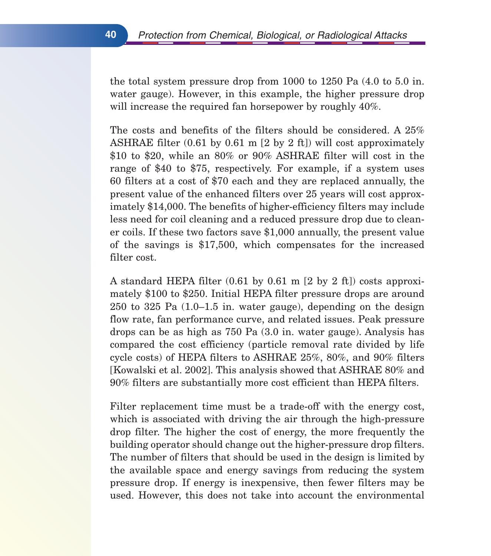the total system pressure drop from 1000 to 1250 Pa (4.0 to 5.0 in. water gauge). However, in this example, the higher pressure drop will increase the required fan horsepower by roughly  $40\%$ .

The costs and benefits of the filters should be considered. A 25% ASHRAE filter (0.61 by 0.61 m [2 by 2 ft]) will cost approximately \$10 to \$20, while an 80% or 90% ASHRAE filter will cost in the range of \$40 to \$75, respectively. For example, if a system uses 60 filters at a cost of \$70 each and they are replaced annually, the present value of the enhanced filters over 25 years will cost approximately \$14,000. The benefits of higher-efficiency filters may include less need for coil cleaning and a reduced pressure drop due to cleaner coils. If these two factors save \$1,000 annually, the present value of the savings is \$17,500, which compensates for the increased filter cost.

A standard HEPA filter  $(0.61 \text{ by } 0.61 \text{ m } [2 \text{ by } 2 \text{ ft}])$  costs approximately \$100 to \$250. Initial HEPA filter pressure drops are around 250 to 325 Pa (1.0–1.5 in. water gauge), depending on the design flow rate, fan performance curve, and related issues. Peak pressure drops can be as high as 750 Pa (3.0 in. water gauge). Analysis has compared the cost efficiency (particle removal rate divided by life cycle costs) of HEPA filters to ASHRAE 25%, 80%, and 90% filters [Kowalski et al. 2002]. This analysis showed that ASHRAE 80% and 90% filters are substantially more cost efficient than HEPA filters.

Filter replacement time must be a trade-off with the energy cost, which is associated with driving the air through the high-pressure drop filter. The higher the cost of energy, the more frequently the building operator should change out the higher-pressure drop filters. The number of filters that should be used in the design is limited by the available space and energy savings from reducing the system pressure drop. If energy is inexpensive, then fewer filters may be used. However, this does not take into account the environmental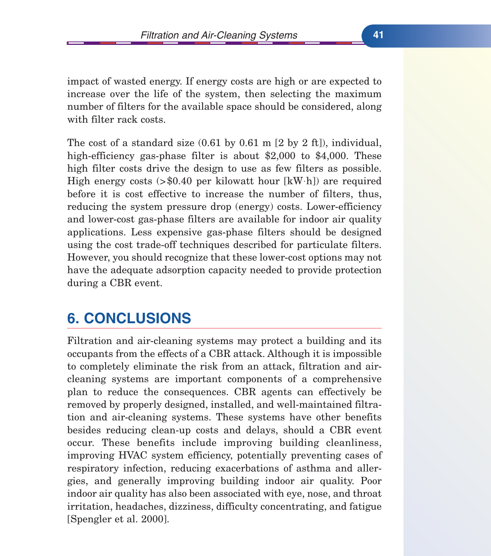impact of wasted energy. If energy costs are high or are expected to increase over the life of the system, then selecting the maximum number of filters for the available space should be considered, along with filter rack costs.

The cost of a standard size (0.61 by 0.61 m [2 by 2 ft]), individual, high-efficiency gas-phase filter is about \$2,000 to \$4,000. These high filter costs drive the design to use as few filters as possible. High energy costs  $> $0.40$  per kilowatt hour  $[kW h]$  are required before it is cost effective to increase the number of filters, thus, reducing the system pressure drop (energy) costs. Lower-efficiency and lower-cost gas-phase filters are available for indoor air quality applications. Less expensive gas-phase filters should be designed using the cost trade-off techniques described for particulate filters. However, you should recognize that these lower-cost options may not have the adequate adsorption capacity needed to provide protection during a CBR event.

# **6. CONCLUSIONS**

Filtration and air-cleaning systems may protect a building and its occupants from the effects of a CBR attack. Although it is impossible to completely eliminate the risk from an attack, filtration and aircleaning systems are important components of a comprehensive plan to reduce the consequences. CBR agents can effectively be removed by properly designed, installed, and well-maintained filtration and air-cleaning systems. These systems have other benefits besides reducing clean-up costs and delays, should a CBR event occur. These benefits include improving building cleanliness, improving HVAC system efficiency, potentially preventing cases of respiratory infection, reducing exacerbations of asthma and allergies, and generally improving building indoor air quality. Poor indoor air quality has also been associated with eye, nose, and throat irritation, headaches, dizziness, difficulty concentrating, and fatigue [Spengler et al. 2000].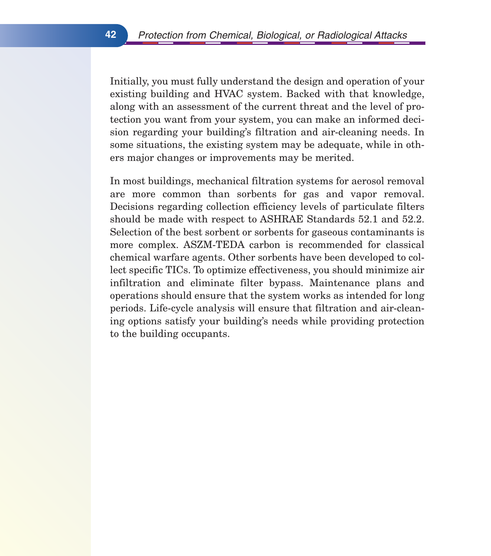Initially, you must fully understand the design and operation of your existing building and HVAC system. Backed with that knowledge, along with an assessment of the current threat and the level of protection you want from your system, you can make an informed decision regarding your building's filtration and air-cleaning needs. In some situations, the existing system may be adequate, while in others major changes or improvements may be merited.

In most buildings, mechanical filtration systems for aerosol removal are more common than sorbents for gas and vapor removal. Decisions regarding collection efficiency levels of particulate filters should be made with respect to ASHRAE Standards 52.1 and 52.2. Selection of the best sorbent or sorbents for gaseous contaminants is more complex. ASZM-TEDA carbon is recommended for classical chemical warfare agents. Other sorbents have been developed to collect specific TICs. To optimize effectiveness, you should minimize air infiltration and eliminate filter bypass. Maintenance plans and operations should ensure that the system works as intended for long periods. Life-cycle analysis will ensure that filtration and air-cleaning options satisfy your building's needs while providing protection to the building occupants.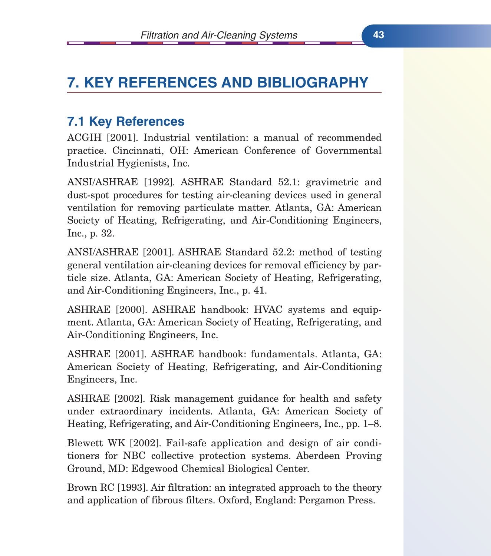# **7. KEY REFERENCES AND BIBLIOGRAPHY**

# **7.1 Key References**

ACGIH [2001]. Industrial ventilation: a manual of recommended practice. Cincinnati, OH: American Conference of Governmental Industrial Hygienists, Inc.

ANSI/ASHRAE [1992]. ASHRAE Standard 52.1: gravimetric and dust-spot procedures for testing air-cleaning devices used in general ventilation for removing particulate matter. Atlanta, GA: American Society of Heating, Refrigerating, and Air-Conditioning Engineers, Inc., p. 32.

ANSI/ASHRAE [2001]. ASHRAE Standard 52.2: method of testing general ventilation air-cleaning devices for removal efficiency by particle size. Atlanta, GA: American Society of Heating, Refrigerating, and Air-Conditioning Engineers, Inc., p. 41.

ASHRAE [2000]. ASHRAE handbook: HVAC systems and equipment. Atlanta, GA: American Society of Heating, Refrigerating, and Air-Conditioning Engineers, Inc.

ASHRAE [2001]. ASHRAE handbook: fundamentals. Atlanta, GA: American Society of Heating, Refrigerating, and Air-Conditioning Engineers, Inc.

ASHRAE [2002]. Risk management guidance for health and safety under extraordinary incidents. Atlanta, GA: American Society of Heating, Refrigerating, and Air-Conditioning Engineers, Inc., pp. 1–8.

Blewett WK [2002]. Fail-safe application and design of air conditioners for NBC collective protection systems. Aberdeen Proving Ground, MD: Edgewood Chemical Biological Center.

Brown RC [1993]. Air filtration: an integrated approach to the theory and application of fibrous filters. Oxford, England: Pergamon Press.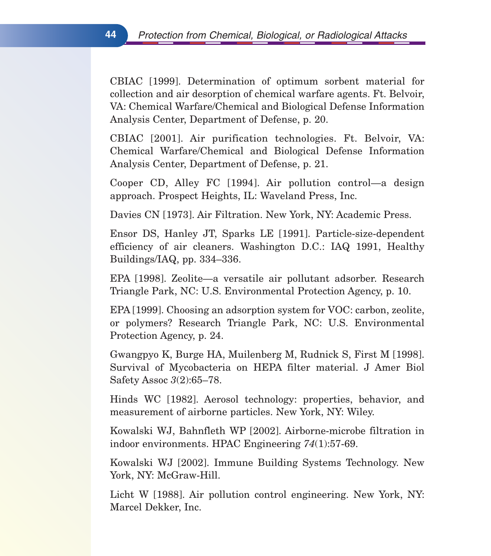CBIAC [1999]. Determination of optimum sorbent material for collection and air desorption of chemical warfare agents. Ft. Belvoir, VA: Chemical Warfare/Chemical and Biological Defense Information Analysis Center, Department of Defense, p. 20.

CBIAC [2001]. Air purification technologies. Ft. Belvoir, VA: Chemical Warfare/Chemical and Biological Defense Information Analysis Center, Department of Defense, p. 21.

Cooper CD, Alley FC [1994]. Air pollution control—a design approach. Prospect Heights, IL: Waveland Press, Inc.

Davies CN [1973]. Air Filtration. New York, NY: Academic Press.

Ensor DS, Hanley JT, Sparks LE [1991]. Particle-size-dependent efficiency of air cleaners. Washington D.C.: IAQ 1991, Healthy Buildings/IAQ, pp. 334–336.

EPA [1998]. Zeolite—a versatile air pollutant adsorber. Research Triangle Park, NC: U.S. Environmental Protection Agency, p. 10.

EPA [1999]. Choosing an adsorption system for VOC: carbon, zeolite, or polymers? Research Triangle Park, NC: U.S. Environmental Protection Agency, p. 24.

Gwangpyo K, Burge HA, Muilenberg M, Rudnick S, First M [1998]. Survival of Mycobacteria on HEPA filter material. J Amer Biol Safety Assoc *3*(2):65–78.

Hinds WC [1982]. Aerosol technology: properties, behavior, and measurement of airborne particles. New York, NY: Wiley.

Kowalski WJ, Bahnfleth WP [2002]. Airborne-microbe filtration in indoor environments. HPAC Engineering *74*(1):57-69.

Kowalski WJ [2002]. Immune Building Systems Technology. New York, NY: McGraw-Hill.

Licht W [1988]. Air pollution control engineering. New York, NY: Marcel Dekker, Inc.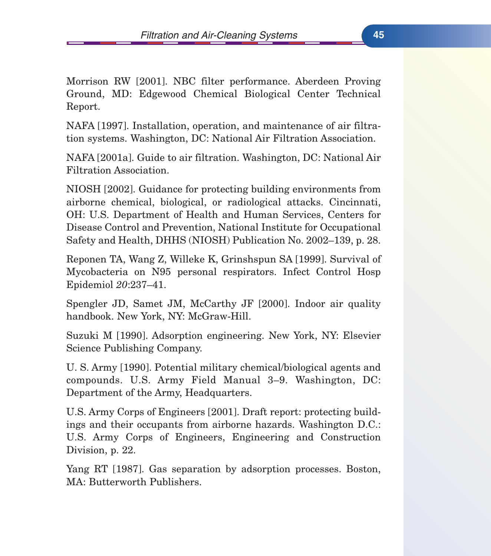Morrison RW [2001]. NBC filter performance. Aberdeen Proving Ground, MD: Edgewood Chemical Biological Center Technical Report.

NAFA [1997]. Installation, operation, and maintenance of air filtration systems. Washington, DC: National Air Filtration Association.

NAFA [2001a]. Guide to air filtration. Washington, DC: National Air Filtration Association.

NIOSH [2002]. Guidance for protecting building environments from airborne chemical, biological, or radiological attacks. Cincinnati, OH: U.S. Department of Health and Human Services, Centers for Disease Control and Prevention, National Institute for Occupational Safety and Health, DHHS (NIOSH) Publication No. 2002–139, p. 28.

Reponen TA, Wang Z, Willeke K, Grinshspun SA [1999]. Survival of Mycobacteria on N95 personal respirators. Infect Control Hosp Epidemiol *20*:237–41.

Spengler JD, Samet JM, McCarthy JF [2000]. Indoor air quality handbook. New York, NY: McGraw-Hill.

Suzuki M [1990]. Adsorption engineering. New York, NY: Elsevier Science Publishing Company.

U. S. Army [1990]. Potential military chemical/biological agents and compounds. U.S. Army Field Manual 3–9. Washington, DC: Department of the Army, Headquarters.

U.S. Army Corps of Engineers [2001]. Draft report: protecting buildings and their occupants from airborne hazards. Washington D.C.: U.S. Army Corps of Engineers, Engineering and Construction Division, p. 22.

Yang RT [1987]. Gas separation by adsorption processes. Boston, MA: Butterworth Publishers.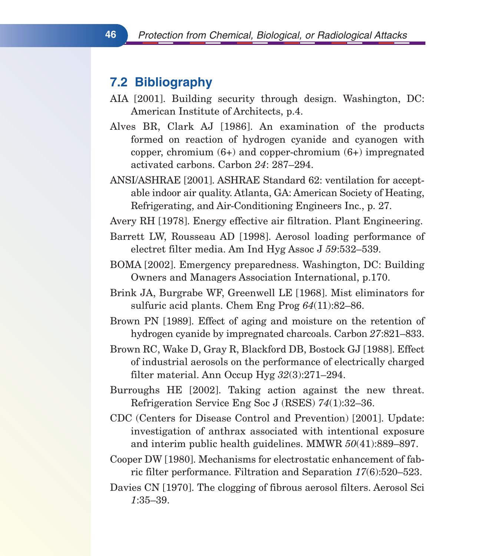# **7.2 Bibliography**

- AIA [2001]. Building security through design. Washington, DC: American Institute of Architects, p.4.
- Alves BR, Clark AJ [1986]. An examination of the products formed on reaction of hydrogen cyanide and cyanogen with copper, chromium  $(6+)$  and copper-chromium  $(6+)$  impregnated activated carbons. Carbon *24*: 287–294.
- ANSI/ASHRAE [2001]. ASHRAE Standard 62: ventilation for acceptable indoor air quality. Atlanta, GA: American Society of Heating, Refrigerating, and Air-Conditioning Engineers Inc., p. 27.
- Avery RH [1978]. Energy effective air filtration. Plant Engineering.
- Barrett LW, Rousseau AD [1998]. Aerosol loading performance of electret filter media. Am Ind Hyg Assoc J *59*:532–539.
- BOMA [2002]. Emergency preparedness. Washington, DC: Building Owners and Managers Association International, p.170.
- Brink JA, Burgrabe WF, Greenwell LE [1968]. Mist eliminators for sulfuric acid plants. Chem Eng Prog *64*(11):82–86.
- Brown PN [1989]. Effect of aging and moisture on the retention of hydrogen cyanide by impregnated charcoals. Carbon *27*:821–833.
- Brown RC, Wake D, Gray R, Blackford DB, Bostock GJ [1988]. Effect of industrial aerosols on the performance of electrically charged filter material. Ann Occup Hyg *32*(3):271–294.
- Burroughs HE [2002]. Taking action against the new threat. Refrigeration Service Eng Soc J (RSES) *74*(1):32–36.
- CDC (Centers for Disease Control and Prevention) [2001]. Update: investigation of anthrax associated with intentional exposure and interim public health guidelines. MMWR *50*(41):889–897.
- Cooper DW [1980]. Mechanisms for electrostatic enhancement of fabric filter performance. Filtration and Separation *17*(6):520–523.
- Davies CN [1970]. The clogging of fibrous aerosol filters. Aerosol Sci *1*:35–39.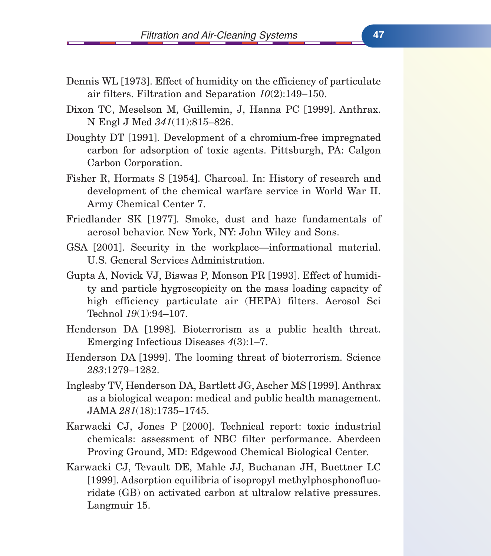- Dennis WL [1973]. Effect of humidity on the efficiency of particulate air filters. Filtration and Separation *10*(2):149–150.
- Dixon TC, Meselson M, Guillemin, J, Hanna PC [1999]. Anthrax. N Engl J Med *341*(11):815–826.
- Doughty DT [1991]. Development of a chromium-free impregnated carbon for adsorption of toxic agents. Pittsburgh, PA: Calgon Carbon Corporation.
- Fisher R, Hormats S [1954]. Charcoal. In: History of research and development of the chemical warfare service in World War II. Army Chemical Center 7.
- Friedlander SK [1977]. Smoke, dust and haze fundamentals of aerosol behavior. New York, NY: John Wiley and Sons.
- GSA [2001]. Security in the workplace—informational material. U.S. General Services Administration.
- Gupta A, Novick VJ, Biswas P, Monson PR [1993]. Effect of humidity and particle hygroscopicity on the mass loading capacity of high efficiency particulate air (HEPA) filters. Aerosol Sci Technol *19*(1):94–107.
- Henderson DA [1998]. Bioterrorism as a public health threat. Emerging Infectious Diseases *4*(3):1–7.
- Henderson DA [1999]. The looming threat of bioterrorism. Science *283*:1279–1282.
- Inglesby TV, Henderson DA, Bartlett JG, Ascher MS [1999]. Anthrax as a biological weapon: medical and public health management. JAMA *281*(18):1735–1745.
- Karwacki CJ, Jones P [2000]. Technical report: toxic industrial chemicals: assessment of NBC filter performance. Aberdeen Proving Ground, MD: Edgewood Chemical Biological Center.
- Karwacki CJ, Tevault DE, Mahle JJ, Buchanan JH, Buettner LC [1999]. Adsorption equilibria of isopropyl methylphosphonofluoridate (GB) on activated carbon at ultralow relative pressures. Langmuir 15.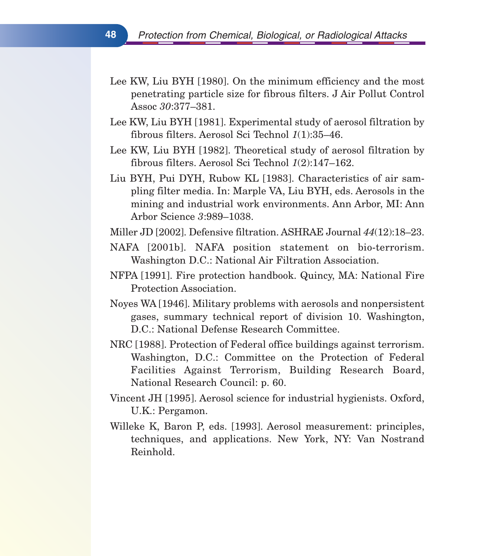- Lee KW, Liu BYH [1980]. On the minimum efficiency and the most penetrating particle size for fibrous filters. J Air Pollut Control Assoc *30*:377–381.
- Lee KW, Liu BYH [1981]. Experimental study of aerosol filtration by fibrous filters. Aerosol Sci Technol *1*(1):35–46.
- Lee KW, Liu BYH [1982]. Theoretical study of aerosol filtration by fibrous filters. Aerosol Sci Technol *1*(2):147–162.
- Liu BYH, Pui DYH, Rubow KL [1983]. Characteristics of air sampling filter media. In: Marple VA, Liu BYH, eds. Aerosols in the mining and industrial work environments. Ann Arbor, MI: Ann Arbor Science *3*:989–1038.
- Miller JD [2002]. Defensive filtration. ASHRAE Journal *44*(12):18–23.
- NAFA [2001b]. NAFA position statement on bio-terrorism. Washington D.C.: National Air Filtration Association.
- NFPA [1991]. Fire protection handbook. Quincy, MA: National Fire Protection Association.
- Noyes WA [1946]. Military problems with aerosols and nonpersistent gases, summary technical report of division 10. Washington, D.C.: National Defense Research Committee.
- NRC [1988]. Protection of Federal office buildings against terrorism. Washington, D.C.: Committee on the Protection of Federal Facilities Against Terrorism, Building Research Board, National Research Council: p. 60.
- Vincent JH [1995]. Aerosol science for industrial hygienists. Oxford, U.K.: Pergamon.
- Willeke K, Baron P, eds. [1993]. Aerosol measurement: principles, techniques, and applications. New York, NY: Van Nostrand Reinhold.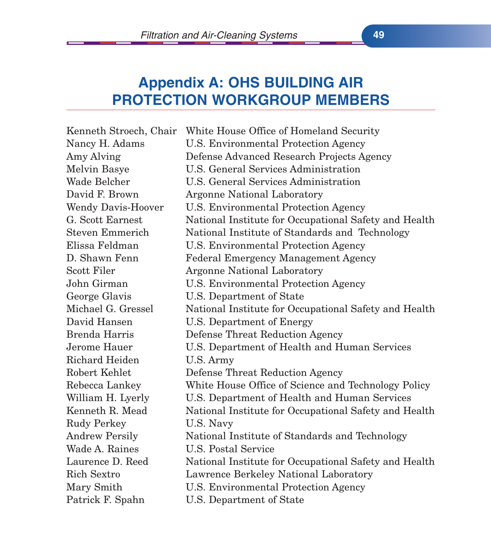# **Appendix A: OHS BUILDING AIR PROTECTION WORKGROUP MEMBERS**

Kenneth Stroech, Chair White House Office of Homeland Security Nancy H. Adams U.S. Environmental Protection Agency Amy Alving Defense Advanced Research Projects Agency Melvin Basye U.S. General Services Administration Wade Belcher U.S. General Services Administration David F. Brown Argonne National Laboratory Wendy Davis-Hoover U.S. Environmental Protection Agency G. Scott Earnest National Institute for Occupational Safety and Health Steven Emmerich National Institute of Standards and Technology Elissa Feldman U.S. Environmental Protection Agency D. Shawn Fenn Federal Emergency Management Agency Scott Filer **Argonne National Laboratory** John Girman U.S. Environmental Protection Agency George Glavis U.S. Department of State Michael G. Gressel National Institute for Occupational Safety and Health David Hansen U.S. Department of Energy Brenda Harris Defense Threat Reduction Agency Jerome Hauer U.S. Department of Health and Human Services Richard Heiden U.S. Army Robert Kehlet Defense Threat Reduction Agency Rebecca Lankey White House Office of Science and Technology Policy William H. Lyerly U.S. Department of Health and Human Services Kenneth R. Mead National Institute for Occupational Safety and Health Rudy Perkey **U.S. Navy** Andrew Persily National Institute of Standards and Technology Wade A. Raines U.S. Postal Service Laurence D. Reed National Institute for Occupational Safety and Health Rich Sextro Lawrence Berkeley National Laboratory Mary Smith U.S. Environmental Protection Agency Patrick F. Spahn U.S. Department of State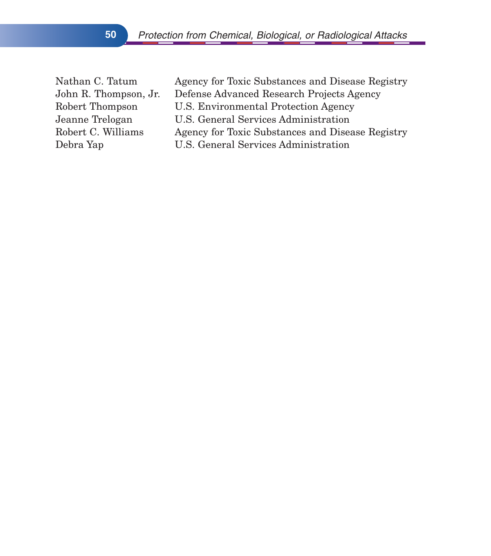Nathan C. Tatum Agency for Toxic Substances and Disease Registry John R. Thompson, Jr. Defense Advanced Research Projects Agency Robert Thompson U.S. Environmental Protection Agency Jeanne Trelogan U.S. General Services Administration Robert C. Williams Agency for Toxic Substances and Disease Registry Debra Yap U.S. General Services Administration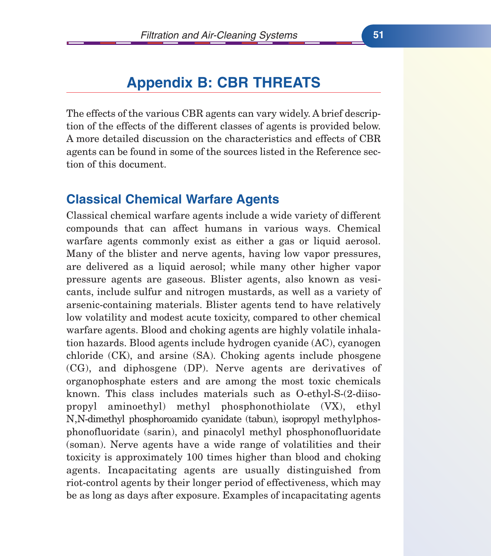# **Appendix B: CBR THREATS**

The effects of the various CBR agents can vary widely. A brief description of the effects of the different classes of agents is provided below. A more detailed discussion on the characteristics and effects of CBR agents can be found in some of the sources listed in the Reference section of this document.

#### **Classical Chemical Warfare Agents**

Classical chemical warfare agents include a wide variety of different compounds that can affect humans in various ways. Chemical warfare agents commonly exist as either a gas or liquid aerosol. Many of the blister and nerve agents, having low vapor pressures, are delivered as a liquid aerosol; while many other higher vapor pressure agents are gaseous. Blister agents, also known as vesicants, include sulfur and nitrogen mustards, as well as a variety of arsenic-containing materials. Blister agents tend to have relatively low volatility and modest acute toxicity, compared to other chemical warfare agents. Blood and choking agents are highly volatile inhalation hazards. Blood agents include hydrogen cyanide (AC), cyanogen chloride (CK), and arsine (SA). Choking agents include phosgene (CG), and diphosgene (DP). Nerve agents are derivatives of organophosphate esters and are among the most toxic chemicals known. This class includes materials such as O-ethyl-S-(2-diisopropyl aminoethyl) methyl phosphonothiolate (VX), ethyl N,N-dimethyl phosphoroamido cyanidate (tabun), isopropyl methylphosphonofluoridate (sarin), and pinacolyl methyl phosphonofluoridate (soman). Nerve agents have a wide range of volatilities and their toxicity is approximately 100 times higher than blood and choking agents. Incapacitating agents are usually distinguished from riot-control agents by their longer period of effectiveness, which may be as long as days after exposure. Examples of incapacitating agents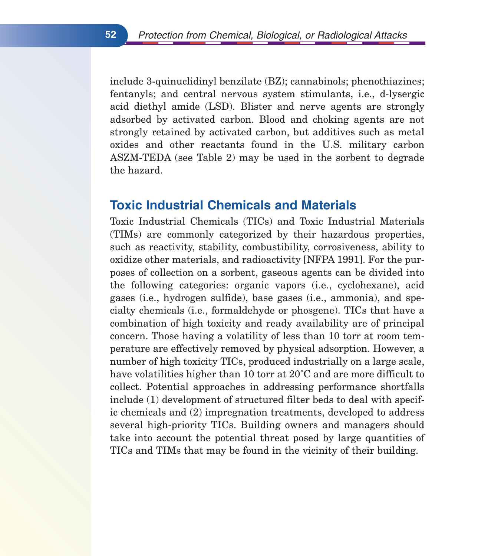include 3-quinuclidinyl benzilate (BZ); cannabinols; phenothiazines; fentanyls; and central nervous system stimulants, i.e., d-lysergic acid diethyl amide (LSD). Blister and nerve agents are strongly adsorbed by activated carbon. Blood and choking agents are not strongly retained by activated carbon, but additives such as metal oxides and other reactants found in the U.S. military carbon ASZM-TEDA (see Table 2) may be used in the sorbent to degrade the hazard.

#### **Toxic Industrial Chemicals and Materials**

Toxic Industrial Chemicals (TICs) and Toxic Industrial Materials (TIMs) are commonly categorized by their hazardous properties, such as reactivity, stability, combustibility, corrosiveness, ability to oxidize other materials, and radioactivity [NFPA 1991]. For the purposes of collection on a sorbent, gaseous agents can be divided into the following categories: organic vapors (i.e., cyclohexane), acid gases (i.e., hydrogen sulfide), base gases (i.e., ammonia), and specialty chemicals (i.e., formaldehyde or phosgene). TICs that have a combination of high toxicity and ready availability are of principal concern. Those having a volatility of less than 10 torr at room temperature are effectively removed by physical adsorption. However, a number of high toxicity TICs, produced industrially on a large scale, have volatilities higher than 10 torr at  $20^{\circ}$ C and are more difficult to collect. Potential approaches in addressing performance shortfalls include (1) development of structured filter beds to deal with specific chemicals and (2) impregnation treatments, developed to address several high-priority TICs. Building owners and managers should take into account the potential threat posed by large quantities of TICs and TIMs that may be found in the vicinity of their building.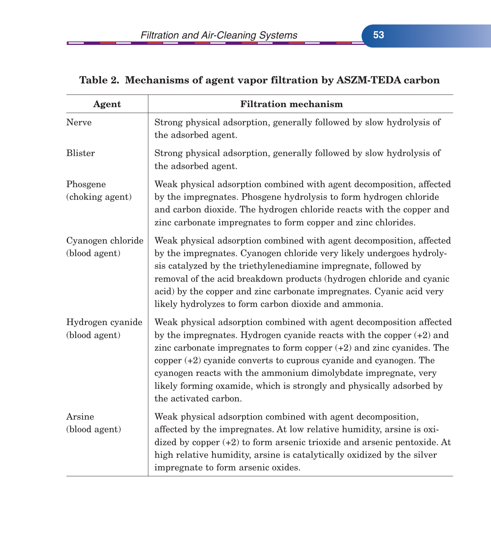| Agent                              | <b>Filtration mechanism</b>                                                                                                                                                                                                                                                                                                                                                                                                                                        |
|------------------------------------|--------------------------------------------------------------------------------------------------------------------------------------------------------------------------------------------------------------------------------------------------------------------------------------------------------------------------------------------------------------------------------------------------------------------------------------------------------------------|
| <b>Nerve</b>                       | Strong physical adsorption, generally followed by slow hydrolysis of<br>the adsorbed agent.                                                                                                                                                                                                                                                                                                                                                                        |
| <b>Blister</b>                     | Strong physical adsorption, generally followed by slow hydrolysis of<br>the adsorbed agent.                                                                                                                                                                                                                                                                                                                                                                        |
| Phosgene<br>(choking agent)        | Weak physical adsorption combined with agent decomposition, affected<br>by the impregnates. Phosgene hydrolysis to form hydrogen chloride<br>and carbon dioxide. The hydrogen chloride reacts with the copper and<br>zinc carbonate impregnates to form copper and zinc chlorides.                                                                                                                                                                                 |
| Cyanogen chloride<br>(blood agent) | Weak physical adsorption combined with agent decomposition, affected<br>by the impregnates. Cyanogen chloride very likely undergoes hydroly-<br>sis catalyzed by the triethylenediamine impregnate, followed by<br>removal of the acid breakdown products (hydrogen chloride and cyanic<br>acid) by the copper and zinc carbonate impregnates. Cyanic acid very<br>likely hydrolyzes to form carbon dioxide and ammonia.                                           |
| Hydrogen cyanide<br>(blood agent)  | Weak physical adsorption combined with agent decomposition affected<br>by the impregnates. Hydrogen cyanide reacts with the copper $(+2)$ and<br>zinc carbonate impregnates to form copper $(+2)$ and zinc cyanides. The<br>copper $(+2)$ cyanide converts to cuprous cyanide and cyanogen. The<br>cyanogen reacts with the ammonium dimolybdate impregnate, very<br>likely forming oxamide, which is strongly and physically adsorbed by<br>the activated carbon. |
| Arsine<br>(blood agent)            | Weak physical adsorption combined with agent decomposition,<br>affected by the impregnates. At low relative humidity, arsine is oxi-<br>dized by copper (+2) to form arsenic trioxide and arsenic pentoxide. At<br>high relative humidity, arsine is catalytically oxidized by the silver<br>impregnate to form arsenic oxides.                                                                                                                                    |

## **Table 2. Mechanisms of agent vapor filtration by ASZM-TEDA carbon**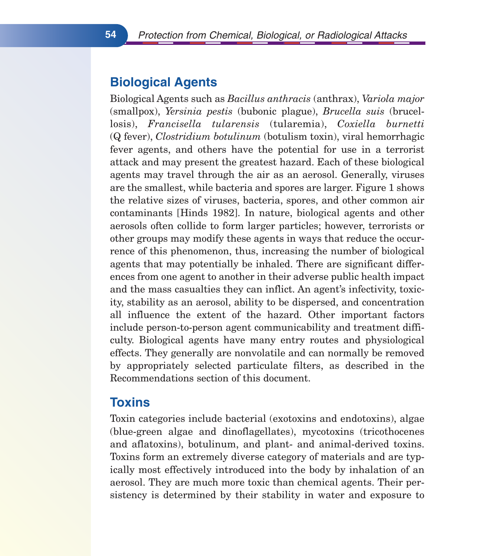# **Biological Agents**

Biological Agents such as *Bacillus anthracis* (anthrax), *Variola major* (smallpox), *Yersinia pestis* (bubonic plague), *Brucella suis* (brucellosis), *Francisella tularensis* (tularemia), *Coxiella burnetti* (Q fever), *Clostridium botulinum* (botulism toxin), viral hemorrhagic fever agents, and others have the potential for use in a terrorist attack and may present the greatest hazard. Each of these biological agents may travel through the air as an aerosol. Generally, viruses are the smallest, while bacteria and spores are larger. Figure 1 shows the relative sizes of viruses, bacteria, spores, and other common air contaminants [Hinds 1982]. In nature, biological agents and other aerosols often collide to form larger particles; however, terrorists or other groups may modify these agents in ways that reduce the occurrence of this phenomenon, thus, increasing the number of biological agents that may potentially be inhaled. There are significant differences from one agent to another in their adverse public health impact and the mass casualties they can inflict. An agent's infectivity, toxicity, stability as an aerosol, ability to be dispersed, and concentration all influence the extent of the hazard. Other important factors include person-to-person agent communicability and treatment difficulty. Biological agents have many entry routes and physiological effects. They generally are nonvolatile and can normally be removed by appropriately selected particulate filters, as described in the Recommendations section of this document.

## **Toxins**

Toxin categories include bacterial (exotoxins and endotoxins), algae (blue-green algae and dinoflagellates), mycotoxins (tricothocenes and aflatoxins), botulinum, and plant- and animal-derived toxins. Toxins form an extremely diverse category of materials and are typically most effectively introduced into the body by inhalation of an aerosol. They are much more toxic than chemical agents. Their persistency is determined by their stability in water and exposure to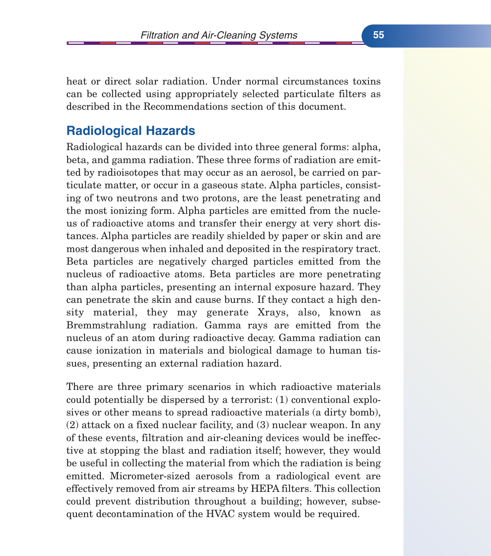heat or direct solar radiation. Under normal circumstances toxins can be collected using appropriately selected particulate filters as described in the Recommendations section of this document.

## **Radiological Hazards**

Radiological hazards can be divided into three general forms: alpha, beta, and gamma radiation. These three forms of radiation are emitted by radioisotopes that may occur as an aerosol, be carried on particulate matter, or occur in a gaseous state. Alpha particles, consisting of two neutrons and two protons, are the least penetrating and the most ionizing form. Alpha particles are emitted from the nucleus of radioactive atoms and transfer their energy at very short distances. Alpha particles are readily shielded by paper or skin and are most dangerous when inhaled and deposited in the respiratory tract. Beta particles are negatively charged particles emitted from the nucleus of radioactive atoms. Beta particles are more penetrating than alpha particles, presenting an internal exposure hazard. They can penetrate the skin and cause burns. If they contact a high density material, they may generate Xrays, also, known as Bremmstrahlung radiation. Gamma rays are emitted from the nucleus of an atom during radioactive decay. Gamma radiation can cause ionization in materials and biological damage to human tissues, presenting an external radiation hazard.

There are three primary scenarios in which radioactive materials could potentially be dispersed by a terrorist: (1) conventional explosives or other means to spread radioactive materials (a dirty bomb), (2) attack on a fixed nuclear facility, and (3) nuclear weapon. In any of these events, filtration and air-cleaning devices would be ineffective at stopping the blast and radiation itself; however, they would be useful in collecting the material from which the radiation is being emitted. Micrometer-sized aerosols from a radiological event are effectively removed from air streams by HEPA filters. This collection could prevent distribution throughout a building; however, subsequent decontamination of the HVAC system would be required.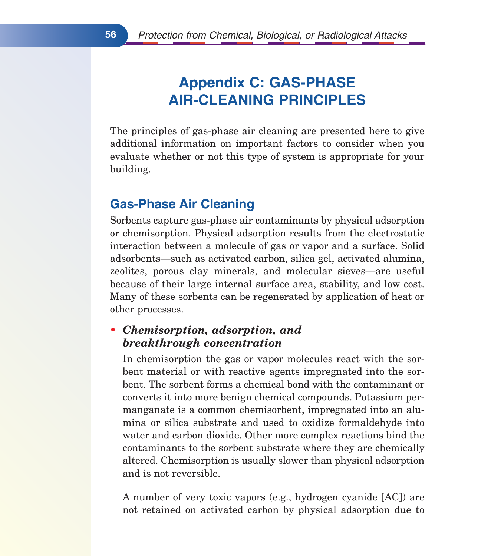# **Appendix C: GAS-PHASE AIR-CLEANING PRINCIPLES**

The principles of gas-phase air cleaning are presented here to give additional information on important factors to consider when you evaluate whether or not this type of system is appropriate for your building.

# **Gas-Phase Air Cleaning**

Sorbents capture gas-phase air contaminants by physical adsorption or chemisorption. Physical adsorption results from the electrostatic interaction between a molecule of gas or vapor and a surface. Solid adsorbents—such as activated carbon, silica gel, activated alumina, zeolites, porous clay minerals, and molecular sieves—are useful because of their large internal surface area, stability, and low cost. Many of these sorbents can be regenerated by application of heat or other processes.

#### *• Chemisorption, adsorption, and breakthrough concentration*

In chemisorption the gas or vapor molecules react with the sorbent material or with reactive agents impregnated into the sorbent. The sorbent forms a chemical bond with the contaminant or converts it into more benign chemical compounds. Potassium permanganate is a common chemisorbent, impregnated into an alumina or silica substrate and used to oxidize formaldehyde into water and carbon dioxide. Other more complex reactions bind the contaminants to the sorbent substrate where they are chemically altered. Chemisorption is usually slower than physical adsorption and is not reversible.

A number of very toxic vapors (e.g., hydrogen cyanide [AC]) are not retained on activated carbon by physical adsorption due to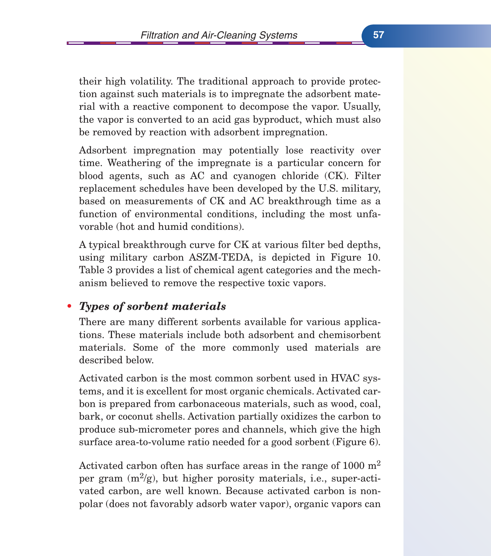their high volatility. The traditional approach to provide protection against such materials is to impregnate the adsorbent material with a reactive component to decompose the vapor. Usually, the vapor is converted to an acid gas byproduct, which must also be removed by reaction with adsorbent impregnation.

Adsorbent impregnation may potentially lose reactivity over time. Weathering of the impregnate is a particular concern for blood agents, such as AC and cyanogen chloride (CK). Filter replacement schedules have been developed by the U.S. military, based on measurements of CK and AC breakthrough time as a function of environmental conditions, including the most unfavorable (hot and humid conditions).

A typical breakthrough curve for CK at various filter bed depths, using military carbon ASZM-TEDA, is depicted in Figure 10. Table 3 provides a list of chemical agent categories and the mechanism believed to remove the respective toxic vapors.

## *• Types of sorbent materials*

There are many different sorbents available for various applications. These materials include both adsorbent and chemisorbent materials. Some of the more commonly used materials are described below.

Activated carbon is the most common sorbent used in HVAC systems, and it is excellent for most organic chemicals. Activated carbon is prepared from carbonaceous materials, such as wood, coal, bark, or coconut shells. Activation partially oxidizes the carbon to produce sub-micrometer pores and channels, which give the high surface area-to-volume ratio needed for a good sorbent (Figure 6).

Activated carbon often has surface areas in the range of  $1000 \text{ m}^2$ per gram  $(m^2/g)$ , but higher porosity materials, i.e., super-activated carbon, are well known. Because activated carbon is nonpolar (does not favorably adsorb water vapor), organic vapors can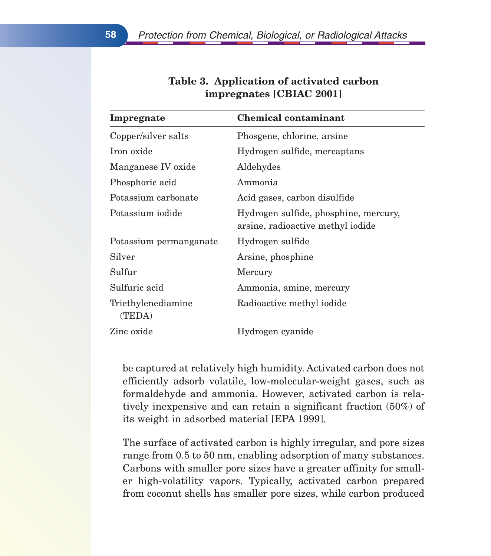| Impregnate                   | <b>Chemical contaminant</b>                                                |
|------------------------------|----------------------------------------------------------------------------|
| Copper/silver salts          | Phosgene, chlorine, arsine                                                 |
| Iron oxide                   | Hydrogen sulfide, mercaptans                                               |
| Manganese IV oxide           | Aldehydes                                                                  |
| Phosphoric acid              | Ammonia                                                                    |
| Potassium carbonate          | Acid gases, carbon disulfide                                               |
| Potassium iodide             | Hydrogen sulfide, phosphine, mercury,<br>arsine, radioactive methyl iodide |
| Potassium permanganate       | Hydrogen sulfide                                                           |
| Silver                       | Arsine, phosphine                                                          |
| Sulfur                       | Mercury                                                                    |
| Sulfuric acid                | Ammonia, amine, mercury                                                    |
| Triethylenediamine<br>(TEDA) | Radioactive methyl iodide                                                  |
| Zinc oxide                   | Hydrogen cyanide                                                           |

## **Table 3. Application of activated carbon impregnates [CBIAC 2001]**

be captured at relatively high humidity. Activated carbon does not efficiently adsorb volatile, low-molecular-weight gases, such as formaldehyde and ammonia. However, activated carbon is relatively inexpensive and can retain a significant fraction (50%) of its weight in adsorbed material [EPA 1999].

The surface of activated carbon is highly irregular, and pore sizes range from 0.5 to 50 nm, enabling adsorption of many substances. Carbons with smaller pore sizes have a greater affinity for smaller high-volatility vapors. Typically, activated carbon prepared from coconut shells has smaller pore sizes, while carbon produced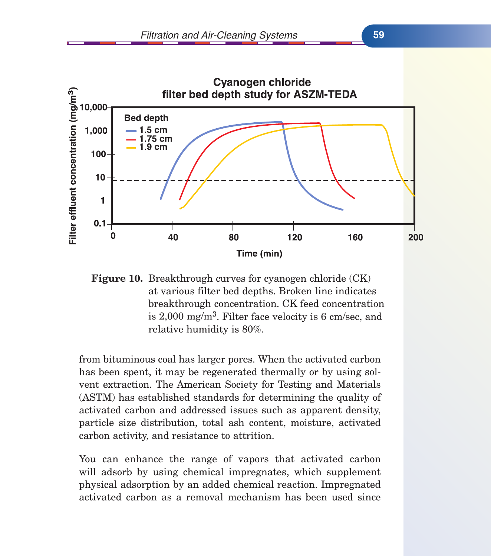

**Figure 10.** Breakthrough curves for cyanogen chloride (CK) at various filter bed depths. Broken line indicates breakthrough concentration. CK feed concentration is  $2,000$  mg/m<sup>3</sup>. Filter face velocity is 6 cm/sec, and relative humidity is 80%.

from bituminous coal has larger pores. When the activated carbon has been spent, it may be regenerated thermally or by using solvent extraction. The American Society for Testing and Materials (ASTM) has established standards for determining the quality of activated carbon and addressed issues such as apparent density, particle size distribution, total ash content, moisture, activated carbon activity, and resistance to attrition.

You can enhance the range of vapors that activated carbon will adsorb by using chemical impregnates, which supplement physical adsorption by an added chemical reaction. Impregnated activated carbon as a removal mechanism has been used since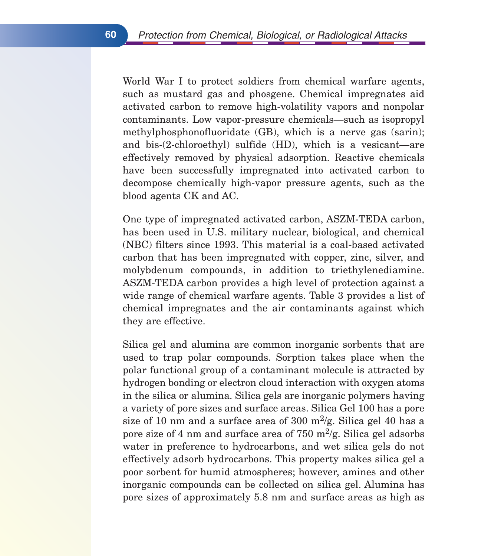World War I to protect soldiers from chemical warfare agents, such as mustard gas and phosgene. Chemical impregnates aid activated carbon to remove high-volatility vapors and nonpolar contaminants. Low vapor-pressure chemicals—such as isopropyl methylphosphonofluoridate (GB), which is a nerve gas (sarin); and bis-(2-chloroethyl) sulfide (HD), which is a vesicant—are effectively removed by physical adsorption. Reactive chemicals have been successfully impregnated into activated carbon to decompose chemically high-vapor pressure agents, such as the blood agents CK and AC.

One type of impregnated activated carbon, ASZM-TEDA carbon, has been used in U.S. military nuclear, biological, and chemical (NBC) filters since 1993. This material is a coal-based activated carbon that has been impregnated with copper, zinc, silver, and molybdenum compounds, in addition to triethylenediamine. ASZM-TEDA carbon provides a high level of protection against a wide range of chemical warfare agents. Table 3 provides a list of chemical impregnates and the air contaminants against which they are effective.

Silica gel and alumina are common inorganic sorbents that are used to trap polar compounds. Sorption takes place when the polar functional group of a contaminant molecule is attracted by hydrogen bonding or electron cloud interaction with oxygen atoms in the silica or alumina. Silica gels are inorganic polymers having a variety of pore sizes and surface areas. Silica Gel 100 has a pore size of 10 nm and a surface area of 300 m<sup>2</sup>/g. Silica gel 40 has a pore size of 4 nm and surface area of 750  $\mathrm{m}^2/\mathrm{g}$ . Silica gel adsorbs water in preference to hydrocarbons, and wet silica gels do not effectively adsorb hydrocarbons. This property makes silica gel a poor sorbent for humid atmospheres; however, amines and other inorganic compounds can be collected on silica gel. Alumina has pore sizes of approximately 5.8 nm and surface areas as high as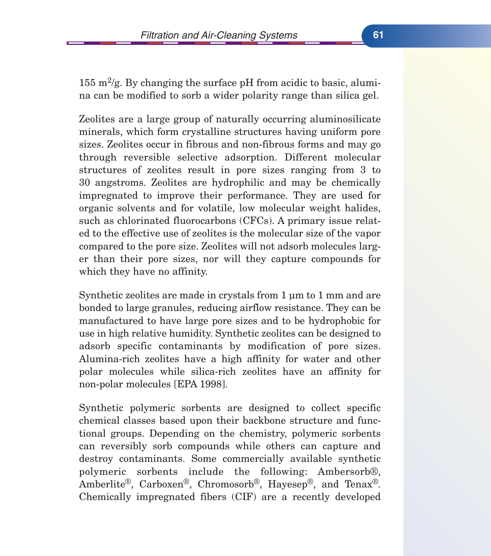155 m<sup>2</sup>/g. By changing the surface pH from acidic to basic, alumina can be modified to sorb a wider polarity range than silica gel.

Zeolites are a large group of naturally occurring aluminosilicate minerals, which form crystalline structures having uniform pore sizes. Zeolites occur in fibrous and non-fibrous forms and may go through reversible selective adsorption. Different molecular structures of zeolites result in pore sizes ranging from 3 to 30 angstroms. Zeolites are hydrophilic and may be chemically impregnated to improve their performance. They are used for organic solvents and for volatile, low molecular weight halides, such as chlorinated fluorocarbons (CFCs). A primary issue related to the effective use of zeolites is the molecular size of the vapor compared to the pore size. Zeolites will not adsorb molecules larger than their pore sizes, nor will they capture compounds for which they have no affinity.

Synthetic zeolites are made in crystals from 1 um to 1 mm and are bonded to large granules, reducing airflow resistance. They can be manufactured to have large pore sizes and to be hydrophobic for use in high relative humidity. Synthetic zeolites can be designed to adsorb specific contaminants by modification of pore sizes. Alumina-rich zeolites have a high affinity for water and other polar molecules while silica-rich zeolites have an affinity for non-polar molecules [EPA 1998].

Synthetic polymeric sorbents are designed to collect specific chemical classes based upon their backbone structure and functional groups. Depending on the chemistry, polymeric sorbents can reversibly sorb compounds while others can capture and destroy contaminants. Some commercially available synthetic polymeric sorbents include the following: Ambersorb®, Amberlite®, Carboxen®, Chromosorb®, Hayesep®, and Tenax®. Chemically impregnated fibers (CIF) are a recently developed